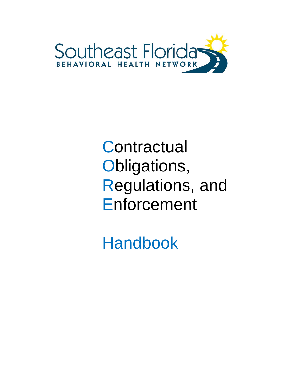

# **Contractual** Obligations, Regulations, and Enforcement

Handbook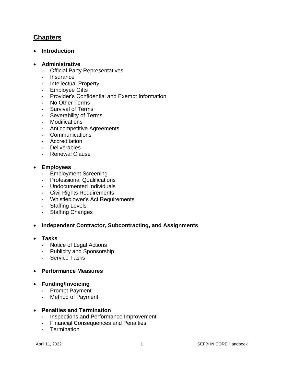# **Chapters**

• **Introduction**

#### • **Administrative**

- **-** Official Party Representatives
- **-** Insurance
- **-** Intellectual Property
- **-** Employee Gifts
- **-** Provider's Confidential and Exempt Information
- **-** No Other Terms
- **-** Survival of Terms
- **-** Severability of Terms
- **-** Modifications
- **-** Anticompetitive Agreements
- **-** Communications
- **-** Accreditation
- **-** Deliverables
- **-** Renewal Clause

#### • **Employees**

- **-** Employment Screening
- **-** Professional Qualifications
- **-** Undocumented Individuals
- **-** Civil Rights Requirements
- **-** Whistleblower's Act Requirements
- **-** Staffing Levels
- **-** Staffing Changes

## • **Independent Contractor, Subcontracting, and Assignments**

- **Tasks**
	- **-** Notice of Legal Actions
	- **-** Publicity and Sponsorship
	- **-** Service Tasks

## • **Performance Measures**

- **Funding/Invoicing**
	- **-** Prompt Payment
	- **-** Method of Payment

#### • **Penalties and Termination**

- **-** Inspections and Performance Improvement
- **-** Financial Consequences and Penalties
- **-** Termination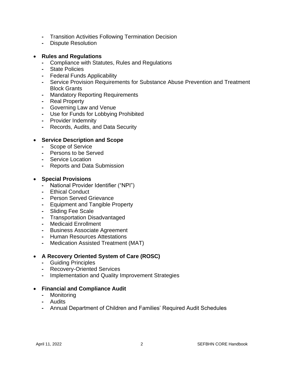- **-** Transition Activities Following Termination Decision
- **-** Dispute Resolution

## • **Rules and Regulations**

- **-** Compliance with Statutes, Rules and Regulations
- **-** State Policies
- **-** Federal Funds Applicability
- **-** Service Provision Requirements for Substance Abuse Prevention and Treatment Block Grants
- **-** Mandatory Reporting Requirements
- **-** Real Property
- **-** Governing Law and Venue
- **-** Use for Funds for Lobbying Prohibited
- **-** Provider Indemnity
- **-** Records, Audits, and Data Security

## • **Service Description and Scope**

- **-** Scope of Service
- **-** Persons to be Served
- **-** Service Location
- **-** Reports and Data Submission

## • **Special Provisions**

- **-** National Provider Identifier ("NPI")
- **-** Ethical Conduct
- **-** Person Served Grievance
- **-** Equipment and Tangible Property
- **-** Sliding Fee Scale
- **-** Transportation Disadvantaged
- **-** Medicaid Enrollment
- **-** Business Associate Agreement
- **-** Human Resources Attestations
- **-** Medication Assisted Treatment (MAT)

## • **A Recovery Oriented System of Care (ROSC)**

- **-** Guiding Principles
- **-** Recovery-Oriented Services
- **-** Implementation and Quality Improvement Strategies

## • **Financial and Compliance Audit**

- **-** Monitoring
- **-** Audits
- **-** Annual Department of Children and Families' Required Audit Schedules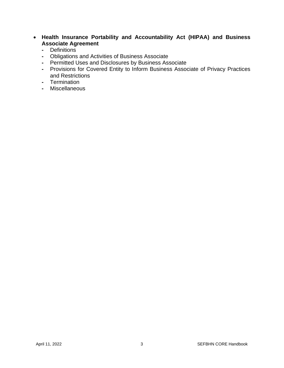- **Health Insurance Portability and Accountability Act (HIPAA) and Business Associate Agreement**
	- **-** Definitions
	- **-** Obligations and Activities of Business Associate
	- **-** Permitted Uses and Disclosures by Business Associate
	- **-** Provisions for Covered Entity to Inform Business Associate of Privacy Practices and Restrictions
	- **-** Termination
	- **-** Miscellaneous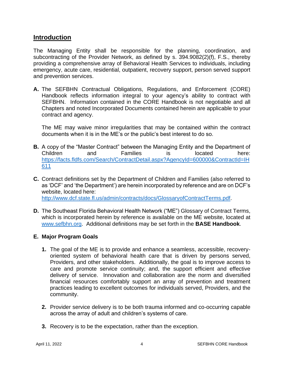## **Introduction**

The Managing Entity shall be responsible for the planning, coordination, and subcontracting of the Provider Network, as defined by s. 394.9082(2)(f), F.S., thereby providing a comprehensive array of Behavioral Health Services to individuals, including emergency, acute care, residential, outpatient, recovery support, person served support and prevention services.

**A.** The SEFBHN Contractual Obligations, Regulations, and Enforcement (CORE) Handbook reflects information integral to your agency's ability to contract with SEFBHN. Information contained in the CORE Handbook is not negotiable and all Chapters and noted Incorporated Documents contained herein are applicable to your contract and agency.

The ME may waive minor irregularities that may be contained within the contract documents when it is in the ME's or the public's best interest to do so.

- **B.** A copy of the "Master Contract" between the Managing Entity and the Department of Children and Families is located here: [https://facts.fldfs.com/Search/ContractDetail.aspx?AgencyId=600000&ContractId=IH](https://facts.fldfs.com/Search/ContractDetail.aspx?AgencyId=600000&ContractId=IH611) [611](https://facts.fldfs.com/Search/ContractDetail.aspx?AgencyId=600000&ContractId=IH611)
- **C.** Contract definitions set by the Department of Children and Families (also referred to as 'DCF' and 'the Department') are herein incorporated by reference and are on DCF's website, located here: [http://www.dcf.state.fl.us/admin/contracts/docs/GlossaryofContractTerms.pdf.](http://www.dcf.state.fl.us/admin/contracts/docs/GlossaryofContractTerms.pdf)
- 
- **D.** The Southeast Florida Behavioral Health Network ("ME") Glossary of Contract Terms, which is incorporated herein by reference is available on the ME website, located at [www.sefbhn.org.](http://www.sefbhn.org/) Additional definitions may be set forth in the **BASE Handbook**.

## **E. Major Program Goals**

- **1.** The goal of the ME is to provide and enhance a seamless, accessible, recoveryoriented system of behavioral health care that is driven by persons served, Providers, and other stakeholders. Additionally, the goal is to improve access to care and promote service continuity; and, the support efficient and effective delivery of service. Innovation and collaboration are the norm and diversified financial resources comfortably support an array of prevention and treatment practices leading to excellent outcomes for individuals served, Providers, and the community.
- **2.** Provider service delivery is to be both trauma informed and co-occurring capable across the array of adult and children's systems of care.
- **3.** Recovery is to be the expectation, rather than the exception.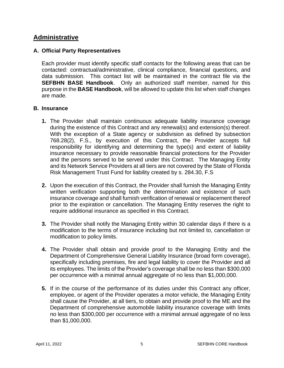# **Administrative**

## **A. Official Party Representatives**

Each provider must identify specific staff contacts for the following areas that can be contacted: contractual/administrative, clinical compliance, financial questions, and data submission. This contact list will be maintained in the contract file via the **SEFBHN BASE Handbook**. Only an authorized staff member, named for this purpose in the **BASE Handbook**, will be allowed to update this list when staff changes are made.

#### **B. Insurance**

- **1.** The Provider shall maintain continuous adequate liability insurance coverage during the existence of this Contract and any renewal(s) and extension(s) thereof. With the exception of a State agency or subdivision as defined by subsection 768.28(2), F.S., by execution of this Contract, the Provider accepts full responsibility for identifying and determining the type(s) and extent of liability insurance necessary to provide reasonable financial protections for the Provider and the persons served to be served under this Contract. The Managing Entity and its Network Service Providers at all tiers are not covered by the State of Florida Risk Management Trust Fund for liability created by s. 284.30, F.S
- **2.** Upon the execution of this Contract, the Provider shall furnish the Managing Entity written verification supporting both the determination and existence of such insurance coverage and shall furnish verification of renewal or replacement thereof prior to the expiration or cancellation. The Managing Entity reserves the right to require additional insurance as specified in this Contract.
- **3.** The Provider shall notify the Managing Entity within 30 calendar days if there is a modification to the terms of insurance including but not limited to, cancellation or modification to policy limits.
- **4.** The Provider shall obtain and provide proof to the Managing Entity and the Department of Comprehensive General Liability Insurance (broad form coverage), specifically including premises, fire and legal liability to cover the Provider and all its employees. The limits of the Provider's coverage shall be no less than \$300,000 per occurrence with a minimal annual aggregate of no less than \$1,000,000.
- **5.** If in the course of the performance of its duties under this Contract any officer, employee, or agent of the Provider operates a motor vehicle, the Managing Entity shall cause the Provider, at all tiers, to obtain and provide proof to the ME and the Department of comprehensive automobile liability insurance coverage with limits no less than \$300,000 per occurrence with a minimal annual aggregate of no less than \$1,000,000.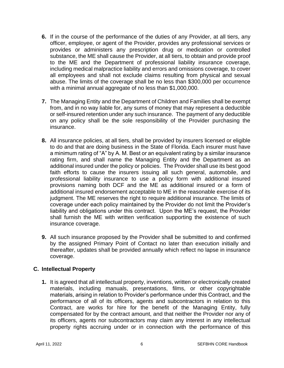- **6.** If in the course of the performance of the duties of any Provider, at all tiers, any officer, employee, or agent of the Provider, provides any professional services or provides or administers any prescription drug or medication or controlled substance, the ME shall cause the Provider, at all tiers, to obtain and provide proof to the ME and the Department of professional liability insurance coverage, including medical malpractice liability and errors and omissions coverage, to cover all employees and shall not exclude claims resulting from physical and sexual abuse. The limits of the coverage shall be no less than \$300,000 per occurrence with a minimal annual aggregate of no less than \$1,000,000.
- **7.** The Managing Entity and the Department of Children and Families shall be exempt from, and in no way liable for, any sums of money that may represent a deductible or self-insured retention under any such insurance. The payment of any deductible on any policy shall be the sole responsibility of the Provider purchasing the insurance.
- **8.** All insurance policies, at all tiers, shall be provided by insurers licensed or eligible to do and that are doing business in the State of Florida. Each insurer must have a minimum rating of "A" by A. M. Best or an equivalent rating by a similar insurance rating firm, and shall name the Managing Entity and the Department as an additional insured under the policy or policies. The Provider shall use its best good faith efforts to cause the insurers issuing all such general, automobile, and professional liability insurance to use a policy form with additional insured provisions naming both DCF and the ME as additional insured or a form of additional insured endorsement acceptable to ME in the reasonable exercise of its judgment. The ME reserves the right to require additional insurance. The limits of coverage under each policy maintained by the Provider do not limit the Provider's liability and obligations under this contract. Upon the ME's request, the Provider shall furnish the ME with written verification supporting the existence of such insurance coverage.
- **9.** All such insurance proposed by the Provider shall be submitted to and confirmed by the assigned Primary Point of Contact no later than execution initially and thereafter, updates shall be provided annually which reflect no lapse in insurance coverage.

## **C. Intellectual Property**

**1.** It is agreed that all intellectual property, inventions, written or electronically created materials, including manuals, presentations, films, or other copyrightable materials, arising in relation to Provider's performance under this Contract, and the performance of all of its officers, agents and subcontractors in relation to this Contract, are works for hire for the benefit of the Managing Entity, fully compensated for by the contract amount, and that neither the Provider nor any of its officers, agents nor subcontractors may claim any interest in any intellectual property rights accruing under or in connection with the performance of this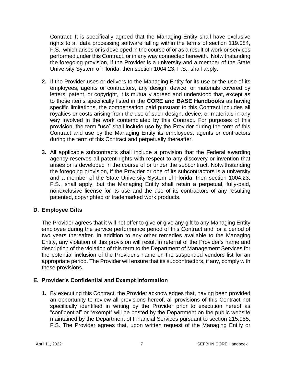Contract. It is specifically agreed that the Managing Entity shall have exclusive rights to all data processing software falling within the terms of section 119.084, F.S., which arises or is developed in the course of or as a result of work or services performed under this Contract, or in any way connected herewith. Notwithstanding the foregoing provision, if the Provider is a university and a member of the State University System of Florida, then section 1004.23, F.S., shall apply.

- **2.** If the Provider uses or delivers to the Managing Entity for its use or the use of its employees, agents or contractors, any design, device, or materials covered by letters, patent, or copyright, it is mutually agreed and understood that, except as to those items specifically listed in the **CORE and BASE Handbooks** as having specific limitations, the compensation paid pursuant to this Contract includes all royalties or costs arising from the use of such design, device, or materials in any way involved in the work contemplated by this Contract. For purposes of this provision, the term "use" shall include use by the Provider during the term of this Contract and use by the Managing Entity its employees, agents or contractors during the term of this Contract and perpetually thereafter.
- **3.** All applicable subcontracts shall include a provision that the Federal awarding agency reserves all patent rights with respect to any discovery or invention that arises or is developed in the course of or under the subcontract. Notwithstanding the foregoing provision, if the Provider or one of its subcontractors is a university and a member of the State University System of Florida, then section 1004.23, F.S., shall apply, but the Managing Entity shall retain a perpetual, fully-paid, nonexclusive license for its use and the use of its contractors of any resulting patented, copyrighted or trademarked work products.

## **D. Employee Gifts**

The Provider agrees that it will not offer to give or give any gift to any Managing Entity employee during the service performance period of this Contract and for a period of two years thereafter. In addition to any other remedies available to the Managing Entity, any violation of this provision will result in referral of the Provider's name and description of the violation of this term to the Department of Management Services for the potential inclusion of the Provider's name on the suspended vendors list for an appropriate period. The Provider will ensure that its subcontractors, if any, comply with these provisions.

## **E. Provider's Confidential and Exempt Information**

**1.** By executing this Contract, the Provider acknowledges that, having been provided an opportunity to review all provisions hereof, all provisions of this Contract not specifically identified in writing by the Provider prior to execution hereof as "confidential" or "exempt" will be posted by the Department on the public website maintained by the Department of Financial Services pursuant to section 215.985, F.S. The Provider agrees that, upon written request of the Managing Entity or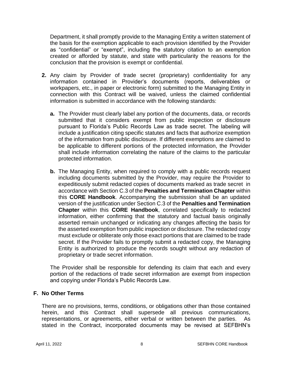Department, it shall promptly provide to the Managing Entity a written statement of the basis for the exemption applicable to each provision identified by the Provider as "confidential" or "exempt", including the statutory citation to an exemption created or afforded by statute, and state with particularity the reasons for the conclusion that the provision is exempt or confidential.

- **2.** Any claim by Provider of trade secret (proprietary) confidentiality for any information contained in Provider's documents (reports, deliverables or workpapers, etc., in paper or electronic form) submitted to the Managing Entity in connection with this Contract will be waived, unless the claimed confidential information is submitted in accordance with the following standards:
	- **a.** The Provider must clearly label any portion of the documents, data, or records submitted that it considers exempt from public inspection or disclosure pursuant to Florida's Public Records Law as trade secret. The labeling will include a justification citing specific statutes and facts that authorize exemption of the information from public disclosure. If different exemptions are claimed to be applicable to different portions of the protected information, the Provider shall include information correlating the nature of the claims to the particular protected information.
	- **b.** The Managing Entity, when required to comply with a public records request including documents submitted by the Provider, may require the Provider to expeditiously submit redacted copies of documents marked as trade secret in accordance with Section C.3 of the **Penalties and Termination Chapter** within this **CORE Handbook**. Accompanying the submission shall be an updated version of the justification under Section C.3 of the **Penalties and Termination Chapter** within this **CORE Handbook**, correlated specifically to redacted information, either confirming that the statutory and factual basis originally asserted remain unchanged or indicating any changes affecting the basis for the asserted exemption from public inspection or disclosure. The redacted copy must exclude or obliterate only those exact portions that are claimed to be trade secret. If the Provider fails to promptly submit a redacted copy, the Managing Entity is authorized to produce the records sought without any redaction of proprietary or trade secret information.

The Provider shall be responsible for defending its claim that each and every portion of the redactions of trade secret information are exempt from inspection and copying under Florida's Public Records Law.

## **F. No Other Terms**

There are no provisions, terms, conditions, or obligations other than those contained herein, and this Contract shall supersede all previous communications, representations, or agreements, either verbal or written between the parties. As stated in the Contract, incorporated documents may be revised at SEFBHN's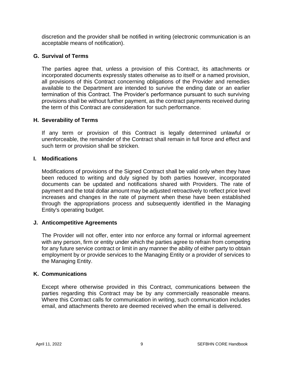discretion and the provider shall be notified in writing (electronic communication is an acceptable means of notification).

## **G. Survival of Terms**

The parties agree that, unless a provision of this Contract, its attachments or incorporated documents expressly states otherwise as to itself or a named provision, all provisions of this Contract concerning obligations of the Provider and remedies available to the Department are intended to survive the ending date or an earlier termination of this Contract. The Provider's performance pursuant to such surviving provisions shall be without further payment, as the contract payments received during the term of this Contract are consideration for such performance.

## **H. Severability of Terms**

If any term or provision of this Contract is legally determined unlawful or unenforceable, the remainder of the Contract shall remain in full force and effect and such term or provision shall be stricken.

## **I. Modifications**

Modifications of provisions of the Signed Contract shall be valid only when they have been reduced to writing and duly signed by both parties however, incorporated documents can be updated and notifications shared with Providers. The rate of payment and the total dollar amount may be adjusted retroactively to reflect price level increases and changes in the rate of payment when these have been established through the appropriations process and subsequently identified in the Managing Entity's operating budget.

## **J. Anticompetitive Agreements**

The Provider will not offer, enter into nor enforce any formal or informal agreement with any person, firm or entity under which the parties agree to refrain from competing for any future service contract or limit in any manner the ability of either party to obtain employment by or provide services to the Managing Entity or a provider of services to the Managing Entity.

## **K. Communications**

Except where otherwise provided in this Contract, communications between the parties regarding this Contract may be by any commercially reasonable means. Where this Contract calls for communication in writing, such communication includes email, and attachments thereto are deemed received when the email is delivered.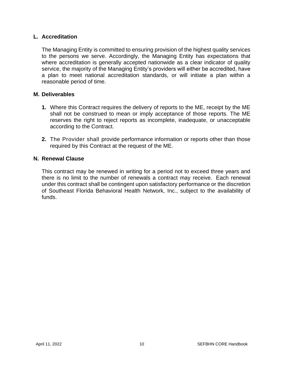## **L. Accreditation**

The Managing Entity is committed to ensuring provision of the highest quality services to the persons we serve. Accordingly, the Managing Entity has expectations that where accreditation is generally accepted nationwide as a clear indicator of quality service, the majority of the Managing Entity's providers will either be accredited, have a plan to meet national accreditation standards, or will initiate a plan within a reasonable period of time.

## **M. Deliverables**

- **1.** Where this Contract requires the delivery of reports to the ME, receipt by the ME shall not be construed to mean or imply acceptance of those reports. The ME reserves the right to reject reports as incomplete, inadequate, or unacceptable according to the Contract.
- **2.** The Provider shall provide performance information or reports other than those required by this Contract at the request of the ME.

## **N. Renewal Clause**

This contract may be renewed in writing for a period not to exceed three years and there is no limit to the number of renewals a contract may receive. Each renewal under this contract shall be contingent upon satisfactory performance or the discretion of Southeast Florida Behavioral Health Network, Inc., subject to the availability of funds.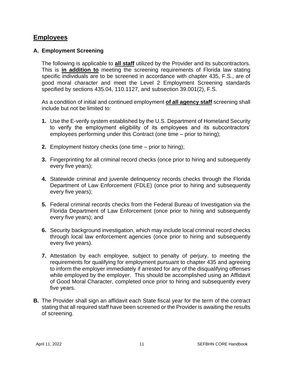# **Employees**

## **A. Employment Screening**

The following is applicable to **all staff** utilized by the Provider and its subcontractors. This is **in addition to** meeting the screening requirements of Florida law stating specific individuals are to be screened in accordance with chapter 435, F.S., are of good moral character and meet the Level 2 Employment Screening standards specified by sections 435.04, 110.1127, and subsection 39.001(2), F.S.

As a condition of initial and continued employment **of all agency staff** screening shall include but not be limited to:

- **1.** Use the E-verify system established by the U.S. Department of Homeland Security to verify the employment eligibility of its employees and its subcontractors' employees performing under this Contract (one time – prior to hiring);
- **2.** Employment history checks (one time prior to hiring);
- **3.** Fingerprinting for all criminal record checks (once prior to hiring and subsequently every five years);
- **4.** Statewide criminal and juvenile delinquency records checks through the Florida Department of Law Enforcement (FDLE) (once prior to hiring and subsequently every five years);
- **5.** Federal criminal records checks from the Federal Bureau of Investigation via the Florida Department of Law Enforcement (once prior to hiring and subsequently every five years); and
- **6.** Security background investigation, which may include local criminal record checks through local law enforcement agencies (once prior to hiring and subsequently every five years).
- **7.** Attestation by each employee, subject to penalty of perjury, to meeting the requirements for qualifying for employment pursuant to chapter 435 and agreeing to inform the employer immediately if arrested for any of the disqualifying offenses while employed by the employer. This should be accomplished using an Affidavit of Good Moral Character, completed once prior to hiring and subsequently every five years.
- **B.** The Provider shall sign an affidavit each State fiscal year for the term of the contract stating that all required staff have been screened or the Provider is awaiting the results of screening.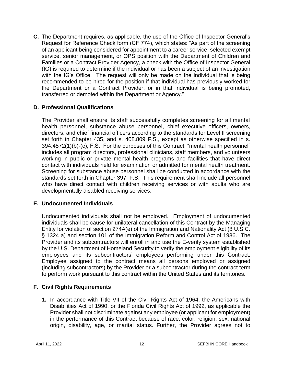**C.** The Department requires, as applicable, the use of the Office of Inspector General's Request for Reference Check form (CF 774), which states: "As part of the screening of an applicant being considered for appointment to a career service, selected exempt service, senior management, or OPS position with the Department of Children and Families or a Contract Provider Agency, a check with the Office of Inspector General (IG) is required to determine if the individual or has been a subject of an investigation with the IG's Office. The request will only be made on the individual that is being recommended to be hired for the position if that individual has previously worked for the Department or a Contract Provider, or in that individual is being promoted, transferred or demoted within the Department or Agency."

## **D. Professional Qualifications**

The Provider shall ensure its staff successfully completes screening for all mental health personnel, substance abuse personnel, chief executive officers, owners, directors, and chief financial officers according to the standards for Level II screening set forth in Chapter 435, and s. 408.809 F.S., except as otherwise specified in s. 394.4572(1)(b)-(c), F.S. For the purposes of this Contract, "mental health personnel" includes all program directors, professional clinicians, staff members, and volunteers working in public or private mental health programs and facilities that have direct contact with individuals held for examination or admitted for mental health treatment. Screening for substance abuse personnel shall be conducted in accordance with the standards set forth in Chapter 397, F.S. This requirement shall include all personnel who have direct contact with children receiving services or with adults who are developmentally disabled receiving services.

## **E. Undocumented Individuals**

Undocumented individuals shall not be employed. Employment of undocumented individuals shall be cause for unilateral cancellation of this Contract by the Managing Entity for violation of section 274A(e) of the Immigration and Nationality Act (8 U.S.C. § 1324 a) and section 101 of the Immigration Reform and Control Act of 1986. The Provider and its subcontractors will enroll in and use the E-verify system established by the U.S. Department of Homeland Security to verify the employment eligibility of its employees and its subcontractors' employees performing under this Contract. Employee assigned to the contract means all persons employed or assigned (including subcontractors) by the Provider or a subcontractor during the contract term to perform work pursuant to this contract within the United States and its territories.

## **F. Civil Rights Requirements**

**1.** In accordance with Title VII of the Civil Rights Act of 1964, the Americans with Disabilities Act of 1990, or the Florida Civil Rights Act of 1992, as applicable the Provider shall not discriminate against any employee (or applicant for employment) in the performance of this Contract because of race, color, religion, sex, national origin, disability, age, or marital status. Further, the Provider agrees not to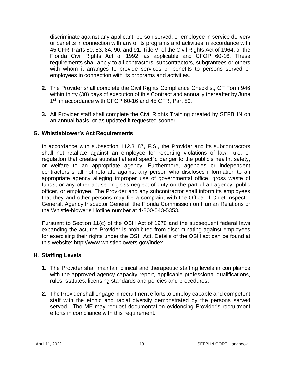discriminate against any applicant, person served, or employee in service delivery or benefits in connection with any of its programs and activities in accordance with 45 CFR, Parts 80, 83, 84, 90, and 91, Title VI of the Civil Rights Act of 1964, or the Florida Civil Rights Act of 1992, as applicable and CFOP 60-16. These requirements shall apply to all contractors, subcontractors, subgrantees or others with whom it arranges to provide services or benefits to persons served or employees in connection with its programs and activities.

- **2.** The Provider shall complete the Civil Rights Compliance Checklist, CF Form 946 within thirty (30) days of execution of this Contract and annually thereafter by June 1<sup>st</sup>, in accordance with CFOP 60-16 and 45 CFR, Part 80.
- **3.** All Provider staff shall complete the Civil Rights Training created by SEFBHN on an annual basis, or as updated if requested sooner.

## **G. Whistleblower's Act Requirements**

In accordance with subsection 112.3187, F.S., the Provider and its subcontractors shall not retaliate against an employee for reporting violations of law, rule, or regulation that creates substantial and specific danger to the public's health, safety, or welfare to an appropriate agency. Furthermore, agencies or independent contractors shall not retaliate against any person who discloses information to an appropriate agency alleging improper use of governmental office, gross waste of funds, or any other abuse or gross neglect of duty on the part of an agency, public officer, or employee. The Provider and any subcontractor shall inform its employees that they and other persons may file a complaint with the Office of Chief Inspector General, Agency Inspector General, the Florida Commission on Human Relations or the Whistle-blower's Hotline number at 1-800-543-5353.

Pursuant to Section 11(c) of the OSH Act of 1970 and the subsequent federal laws expanding the act, the Provider is prohibited from discriminating against employees for exercising their rights under the OSH Act. Details of the OSH act can be found at this website: http://www.whistleblowers.gov/inde[x.](http://www.whistleblowers.gov/index.html)

## **H. Staffing Levels**

- **1.** The Provider shall maintain clinical and therapeutic staffing levels in compliance with the approved agency capacity report, applicable professional qualifications, rules, statutes, licensing standards and policies and procedures.
- **2.** The Provider shall engage in recruitment efforts to employ capable and competent staff with the ethnic and racial diversity demonstrated by the persons served served. The ME may request documentation evidencing Provider's recruitment efforts in compliance with this requirement.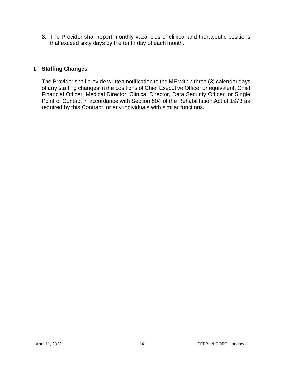**3.** The Provider shall report monthly vacancies of clinical and therapeutic positions that exceed sixty days by the tenth day of each month.

## **I. Staffing Changes**

The Provider shall provide written notification to the ME within three (3) calendar days of any staffing changes in the positions of Chief Executive Officer or equivalent, Chief Financial Officer, Medical Director, Clinical Director, Data Security Officer, or Single Point of Contact in accordance with Section 504 of the Rehabilitation Act of 1973 as required by this Contract, or any individuals with similar functions.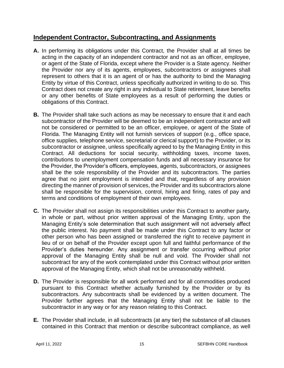# **Independent Contractor, Subcontracting, and Assignments**

- **A.** In performing its obligations under this Contract, the Provider shall at all times be acting in the capacity of an independent contractor and not as an officer, employee, or agent of the State of Florida, except where the Provider is a State agency. Neither the Provider nor any of its agents, employees, subcontractors or assignees shall represent to others that it is an agent of or has the authority to bind the Managing Entity by virtue of this Contract, unless specifically authorized in writing to do so. This Contract does not create any right in any individual to State retirement, leave benefits or any other benefits of State employees as a result of performing the duties or obligations of this Contract.
- **B.** The Provider shall take such actions as may be necessary to ensure that it and each subcontractor of the Provider will be deemed to be an independent contractor and will not be considered or permitted to be an officer, employee, or agent of the State of Florida. The Managing Entity will not furnish services of support (e.g., office space, office supplies, telephone service, secretarial or clerical support) to the Provider, or its subcontractor or assignee, unless specifically agreed to by the Managing Entity in this Contract. All deductions for social security, withholding taxes, income taxes, contributions to unemployment compensation funds and all necessary insurance for the Provider, the Provider's officers, employees, agents, subcontractors, or assignees shall be the sole responsibility of the Provider and its subcontractors. The parties agree that no joint employment is intended and that, regardless of any provision directing the manner of provision of services, the Provider and its subcontractors alone shall be responsible for the supervision, control, hiring and firing, rates of pay and terms and conditions of employment of their own employees.
- **C.** The Provider shall not assign its responsibilities under this Contract to another party, in whole or part, without prior written approval of the Managing Entity, upon the Managing Entity's sole determination that such assignment will not adversely affect the public interest. No payment shall be made under this Contract to any factor or other person who has been assigned or transferred the right to receive payment in lieu of or on behalf of the Provider except upon full and faithful performance of the Provider's duties hereunder. Any assignment or transfer occurring without prior approval of the Managing Entity shall be null and void. The Provider shall not subcontract for any of the work contemplated under this Contract without prior written approval of the Managing Entity, which shall not be unreasonably withheld.
- **D.** The Provider is responsible for all work performed and for all commodities produced pursuant to this Contract whether actually furnished by the Provider or by its subcontractors. Any subcontracts shall be evidenced by a written document. The Provider further agrees that the Managing Entity shall not be liable to the subcontractor in any way or for any reason relating to this Contract.
- **E.** The Provider shall include, in all subcontracts (at any tier) the substance of all clauses contained in this Contract that mention or describe subcontract compliance, as well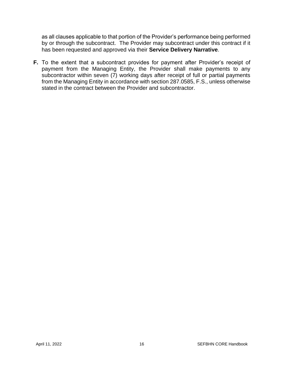as all clauses applicable to that portion of the Provider's performance being performed by or through the subcontract. The Provider may subcontract under this contract if it has been requested and approved via their **Service Delivery Narrative**.

**F.** To the extent that a subcontract provides for payment after Provider's receipt of payment from the Managing Entity, the Provider shall make payments to any subcontractor within seven (7) working days after receipt of full or partial payments from the Managing Entity in accordance with section 287.0585, F.S., unless otherwise stated in the contract between the Provider and subcontractor.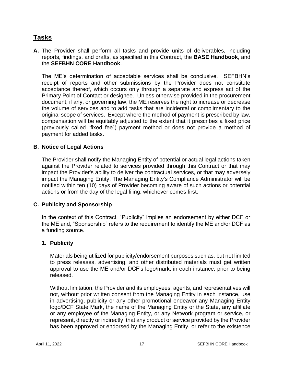# **Tasks**

## **A.** The Provider shall perform all tasks and provide units of deliverables, including reports, findings, and drafts, as specified in this Contract, the **BASE Handbook**, and the **SEFBHN CORE Handbook**.

The ME's determination of acceptable services shall be conclusive. SEFBHN's receipt of reports and other submissions by the Provider does not constitute acceptance thereof, which occurs only through a separate and express act of the Primary Point of Contact or designee. Unless otherwise provided in the procurement document, if any, or governing law, the ME reserves the right to increase or decrease the volume of services and to add tasks that are incidental or complimentary to the original scope of services. Except where the method of payment is prescribed by law, compensation will be equitably adjusted to the extent that it prescribes a fixed price (previously called "fixed fee") payment method or does not provide a method of payment for added tasks.

## **B. Notice of Legal Actions**

The Provider shall notify the Managing Entity of potential or actual legal actions taken against the Provider related to services provided through this Contract or that may impact the Provider's ability to deliver the contractual services, or that may adversely impact the Managing Entity. The Managing Entity's Compliance Administrator will be notified within ten (10) days of Provider becoming aware of such actions or potential actions or from the day of the legal filing, whichever comes first.

## **C. Publicity and Sponsorship**

In the context of this Contract, "Publicity" implies an endorsement by either DCF or the ME and, "Sponsorship" refers to the requirement to identify the ME and/or DCF as a funding source.

## **1. Publicity**

Materials being utilized for publicity/endorsement purposes such as, but not limited to press releases, advertising, and other distributed materials must get written approval to use the ME and/or DCF's logo/mark, in each instance, prior to being released.

Without limitation, the Provider and its employees, agents, and representatives will not, without prior written consent from the Managing Entity in each instance, use in advertising, publicity or any other promotional endeavor any Managing Entity logo/DCF State Mark, the name of the Managing Entity or the State, any affiliate or any employee of the Managing Entity, or any Network program or service, or represent, directly or indirectly, that any product or service provided by the Provider has been approved or endorsed by the Managing Entity, or refer to the existence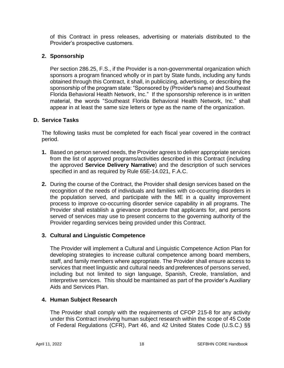of this Contract in press releases, advertising or materials distributed to the Provider's prospective customers.

## **2. Sponsorship**

Per section 286.25, F.S., if the Provider is a non-governmental organization which sponsors a program financed wholly or in part by State funds, including any funds obtained through this Contract, it shall, in publicizing, advertising, or describing the sponsorship of the program state: "Sponsored by (Provider's name) and Southeast Florida Behavioral Health Network, Inc." If the sponsorship reference is in written material, the words "Southeast Florida Behavioral Health Network, Inc." shall appear in at least the same size letters or type as the name of the organization.

## **D. Service Tasks**

The following tasks must be completed for each fiscal year covered in the contract period.

- **1.** Based on person served needs, the Provider agrees to deliver appropriate services from the list of approved programs/activities described in this Contract (including the approved **Service Delivery Narrative**) and the description of such services specified in and as required by Rule 65E-14.021, F.A.C.
- **2.** During the course of the Contract, the Provider shall design services based on the recognition of the needs of individuals and families with co-occurring disorders in the population served, and participate with the ME in a quality improvement process to improve co-occurring disorder service capability in all programs. The Provider shall establish a grievance procedure that applicants for, and persons served of services may use to present concerns to the governing authority of the Provider regarding services being provided under this Contract.

## **3. Cultural and Linguistic Competence**

The Provider will implement a Cultural and Linguistic Competence Action Plan for developing strategies to increase cultural competence among board members, staff, and family members where appropriate. The Provider shall ensure access to services that meet linguistic and cultural needs and preferences of persons served, including but not limited to sign language, Spanish, Creole, translation, and interpretive services. This should be maintained as part of the provider's Auxiliary Aids and Services Plan.

## **4. Human Subject Research**

The Provider shall comply with the requirements of CFOP 215-8 for any activity under this Contract involving human subject research within the scope of 45 Code of Federal Regulations (CFR), Part 46, and 42 United States Code (U.S.C.) §§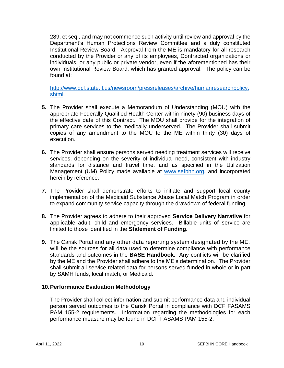289, et seq., and may not commence such activity until review and approval by the Department's Human Protections Review Committee and a duly constituted Institutional Review Board. Approval from the ME is mandatory for all research conducted by the Provider or any of its employees, Contracted organizations or individuals, or any public or private vendor, even if the aforementioned has their own Institutional Review Board, which has granted approval. The policy can be found at:

[http://www.dcf.state.fl.us/newsroom/pressreleases/archive/humanresearchpolicy.](http://www.dcf.state.fl.us/newsroom/pressreleases/archive/humanresearchpolicy.shtml) [shtml.](http://www.dcf.state.fl.us/newsroom/pressreleases/archive/humanresearchpolicy.shtml)

- **5.** The Provider shall execute a Memorandum of Understanding (MOU) with the appropriate Federally Qualified Health Center within ninety (90) business days of the effective date of this Contract. The MOU shall provide for the integration of primary care services to the medically underserved. The Provider shall submit copies of any amendment to the MOU to the ME within thirty (30) days of execution.
- **6.** The Provider shall ensure persons served needing treatment services will receive services, depending on the severity of individual need, consistent with industry standards for distance and travel time, and as specified in the Utilization Management (UM) Policy made available at [www.sefbhn.org,](http://www.sefbhn.org/) and incorporated herein by reference.
- **7.** The Provider shall demonstrate efforts to initiate and support local county implementation of the Medicaid Substance Abuse Local Match Program in order to expand community service capacity through the drawdown of federal funding.
- **8.** The Provider agrees to adhere to their approved **Service Delivery Narrative** for applicable adult, child and emergency services. Billable units of service are limited to those identified in the **Statement of Funding.**
- **9.** The Carisk Portal and any other data reporting system designated by the ME, will be the sources for all data used to determine compliance with performance standards and outcomes in the **BASE Handbook**. Any conflicts will be clarified by the ME and the Provider shall adhere to the ME's determination. The Provider shall submit all service related data for persons served funded in whole or in part by SAMH funds, local match, or Medicaid.

## **10.Performance Evaluation Methodology**

The Provider shall collect information and submit performance data and individual person served outcomes to the Carisk Portal in compliance with DCF FASAMS PAM 155-2 requirements. Information regarding the methodologies for each performance measure may be found in DCF FASAMS PAM 155-2.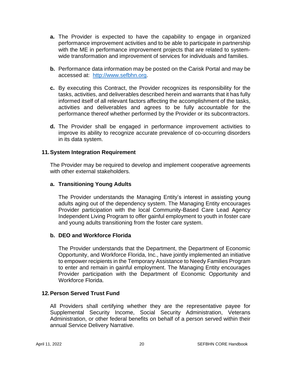- **a.** The Provider is expected to have the capability to engage in organized performance improvement activities and to be able to participate in partnership with the ME in performance improvement projects that are related to systemwide transformation and improvement of services for individuals and families.
- **b.** Performance data information may be posted on the Carisk Portal and may be accessed at: [http://www.sefbhn.org.](http://www.sefbhn.org/)
- **c.** By executing this Contract, the Provider recognizes its responsibility for the tasks, activities, and deliverables described herein and warrants that it has fully informed itself of all relevant factors affecting the accomplishment of the tasks, activities and deliverables and agrees to be fully accountable for the performance thereof whether performed by the Provider or its subcontractors.
- **d.** The Provider shall be engaged in performance improvement activities to improve its ability to recognize accurate prevalence of co-occurring disorders in its data system.

#### **11.System Integration Requirement**

The Provider may be required to develop and implement cooperative agreements with other external stakeholders.

#### **a. Transitioning Young Adults**

The Provider understands the Managing Entity's interest in assisting young adults aging out of the dependency system. The Managing Entity encourages Provider participation with the local Community-Based Care Lead Agency Independent Living Program to offer gainful employment to youth in foster care and young adults transitioning from the foster care system.

#### **b. DEO and Workforce Florida**

The Provider understands that the Department, the Department of Economic Opportunity, and Workforce Florida, Inc., have jointly implemented an initiative to empower recipients in the Temporary Assistance to Needy Families Program to enter and remain in gainful employment. The Managing Entity encourages Provider participation with the Department of Economic Opportunity and Workforce Florida.

#### **12.Person Served Trust Fund**

All Providers shall certifying whether they are the representative payee for Supplemental Security Income, Social Security Administration, Veterans Administration, or other federal benefits on behalf of a person served within their annual Service Delivery Narrative.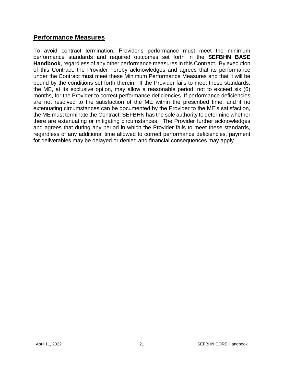## **Performance Measures**

To avoid contract termination, Provider's performance must meet the minimum performance standards and required outcomes set forth in the **SEFBHN BASE Handbook**, regardless of any other performance measures in this Contract. By execution of this Contract, the Provider hereby acknowledges and agrees that its performance under the Contract must meet these Minimum Performance Measures and that it will be bound by the conditions set forth therein. If the Provider fails to meet these standards, the ME, at its exclusive option, may allow a reasonable period, not to exceed six (6) months, for the Provider to correct performance deficiencies. If performance deficiencies are not resolved to the satisfaction of the ME within the prescribed time, and if no extenuating circumstances can be documented by the Provider to the ME's satisfaction, the ME must terminate the Contract. SEFBHN has the sole authority to determine whether there are extenuating or mitigating circumstances. The Provider further acknowledges and agrees that during any period in which the Provider fails to meet these standards, regardless of any additional time allowed to correct performance deficiencies, payment for deliverables may be delayed or denied and financial consequences may apply.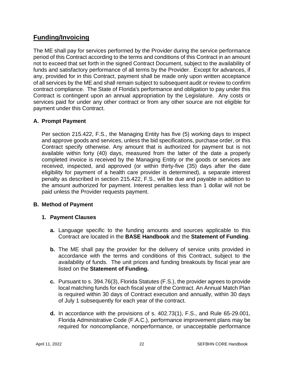# **Funding/Invoicing**

The ME shall pay for services performed by the Provider during the service performance period of this Contract according to the terms and conditions of this Contract in an amount not to exceed that set forth in the signed Contract Document, subject to the availability of funds and satisfactory performance of all terms by the Provider. Except for advances, if any, provided for in this Contract, payment shall be made only upon written acceptance of all services by the ME and shall remain subject to subsequent audit or review to confirm contract compliance. The State of Florida's performance and obligation to pay under this Contract is contingent upon an annual appropriation by the Legislature. Any costs or services paid for under any other contract or from any other source are not eligible for payment under this Contract.

## **A. Prompt Payment**

Per section 215.422, F.S., the Managing Entity has five (5) working days to inspect and approve goods and services, unless the bid specifications, purchase order, or this Contract specify otherwise. Any amount that is authorized for payment but is not available within forty (40) days, measured from the latter of the date a properly completed invoice is received by the Managing Entity or the goods or services are received, inspected, and approved (or within thirty-five (35) days after the date eligibility for payment of a health care provider is determined), a separate interest penalty as described in section 215.422, F.S., will be due and payable in addition to the amount authorized for payment. Interest penalties less than 1 dollar will not be paid unless the Provider requests payment.

## **B. Method of Payment**

## **1. Payment Clauses**

- **a.** Language specific to the funding amounts and sources applicable to this Contract are located in the **BASE Handbook** and the **Statement of Funding**.
- **b.** The ME shall pay the provider for the delivery of service units provided in accordance with the terms and conditions of this Contract, subject to the availability of funds. The unit prices and funding breakouts by fiscal year are listed on the **Statement of Funding.**
- **c.** Pursuant to s. 394.76(3), Florida Statutes (F.S.), the provider agrees to provide local matching funds for each fiscal year of the Contract. An Annual Match Plan is required within 30 days of Contract execution and annually, within 30 days of July 1 subsequently for each year of the contract.
- **d.** In accordance with the provisions of s. 402.73(1), F.S., and Rule 65-29.001, Florida Administrative Code (F.A.C.), performance improvement plans may be required for noncompliance, nonperformance, or unacceptable performance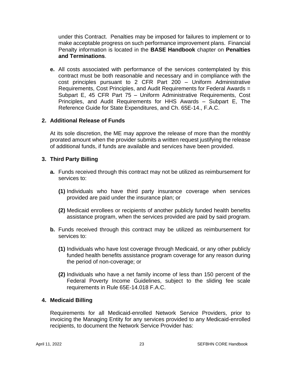under this Contract. Penalties may be imposed for failures to implement or to make acceptable progress on such performance improvement plans. Financial Penalty information is located in the **BASE Handbook** chapter on **Penalties and Terminations**.

**e.** All costs associated with performance of the services contemplated by this contract must be both reasonable and necessary and in compliance with the cost principles pursuant to 2 CFR Part 200 – Uniform Administrative Requirements, Cost Principles, and Audit Requirements for Federal Awards = Subpart E, 45 CFR Part 75 – Uniform Administrative Requirements, Cost Principles, and Audit Requirements for HHS Awards – Subpart E, The Reference Guide for State Expenditures, and Ch. 65E-14., F.A.C.

## **2. Additional Release of Funds**

At its sole discretion, the ME may approve the release of more than the monthly prorated amount when the provider submits a written request justifying the release of additional funds, if funds are available and services have been provided.

## **3. Third Party Billing**

- **a.** Funds received through this contract may not be utilized as reimbursement for services to:
	- **(1)** Individuals who have third party insurance coverage when services provided are paid under the insurance plan; or
	- **(2)** Medicaid enrollees or recipients of another publicly funded health benefits assistance program, when the services provided are paid by said program.
- **b.** Funds received through this contract may be utilized as reimbursement for services to:
	- **(1)** Individuals who have lost coverage through Medicaid, or any other publicly funded health benefits assistance program coverage for any reason during the period of non-coverage; or
	- **(2)** Individuals who have a net family income of less than 150 percent of the Federal Poverty Income Guidelines, subject to the sliding fee scale requirements in Rule 65E-14.018 F.A.C.

## **4. Medicaid Billing**

Requirements for all Medicaid-enrolled Network Service Providers, prior to invoicing the Managing Entity for any services provided to any Medicaid-enrolled recipients, to document the Network Service Provider has: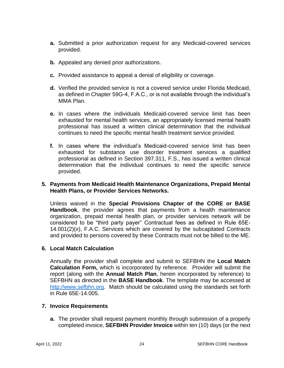- **a.** Submitted a prior authorization request for any Medicaid-covered services provided.
- **b.** Appealed any denied prior authorizations.
- **c.** Provided assistance to appeal a denial of eligibility or coverage.
- **d.** Verified the provided service is not a covered service under Florida Medicaid, as defined in Chapter 59G-4, F.A.C., or is not available through the individual's MMA Plan.
- **e.** In cases where the individuals Medicaid-covered service limit has been exhausted for mental health services, an appropriately licensed mental health professional has issued a written clinical determination that the individual continues to need the specific mental health treatment service provided.
- **f.** In cases where the individual's Medicaid-covered service limit has been exhausted for substance use disorder treatment services a qualified professional as defined in Section 397.311, F.S., has issued a written clinical determination that the individual continues to need the specific service provided.

## **5. Payments from Medicaid Health Maintenance Organizations, Prepaid Mental Health Plans, or Provider Services Networks.**

Unless waived in the **Special Provisions Chapter of the CORE or BASE Handbook**, the provider agrees that payments from a health maintenance organization, prepaid mental health plan, or provider services network will be considered to be "third party payer" Contractual fees as defined in Rule 65E-14.001(2)(x), F.A.C. Services which are covered by the subcapitated Contracts and provided to persons covered by these Contracts must not be billed to the ME.

## **6. Local Match Calculation**

Annually the provider shall complete and submit to SEFBHN the **Local Match Calculation Form,** which is incorporated by reference. Provider will submit the report (along with the **Annual Match Plan**, herein incorporated by reference) to SEFBHN as directed in the **BASE Handbook**. The template may be accessed at [http://www.sefbhn.org.](http://www.sefbhn.org/) Match should be calculated using the standards set forth in Rule 65E-14.005.

## **7. Invoice Requirements**

**a.** The provider shall request payment monthly through submission of a properly completed invoice, **SEFBHN Provider Invoice** within ten (10) days (or the next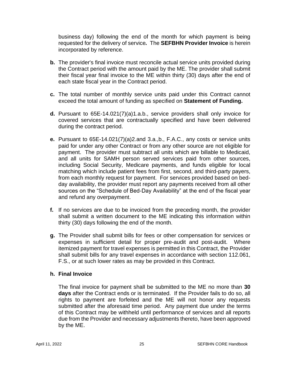business day) following the end of the month for which payment is being requested for the delivery of service*.* The **SEFBHN Provider Invoice** is herein incorporated by reference.

- **b.** The provider's final invoice must reconcile actual service units provided during the Contract period with the amount paid by the ME. The provider shall submit their fiscal year final invoice to the ME within thirty (30) days after the end of each state fiscal year in the Contract period.
- **c.** The total number of monthly service units paid under this Contract cannot exceed the total amount of funding as specified on **Statement of Funding.**
- **d.** Pursuant to 65E-14.021(7)(a)1.a.b., service providers shall only invoice for covered services that are contractually specified and have been delivered during the contract period.
- **e.** Pursuant to 65E-14.021(7)(a)2.and 3.a.,b., F.A.C., any costs or service units paid for under any other Contract or from any other source are not eligible for payment. The provider must subtract all units which are billable to Medicaid, and all units for SAMH person served services paid from other sources, including Social Security, Medicare payments, and funds eligible for local matching which include patient fees from first, second, and third-party payers, from each monthly request for payment. For services provided based on bedday availability, the provider must report any payments received from all other sources on the "Schedule of Bed-Day Availability" at the end of the fiscal year and refund any overpayment.
- **f.** If no services are due to be invoiced from the preceding month, the provider shall submit a written document to the ME indicating this information within thirty (30) days following the end of the month.
- **g.** The Provider shall submit bills for fees or other compensation for services or expenses in sufficient detail for proper pre-audit and post-audit. Where itemized payment for travel expenses is permitted in this Contract, the Provider shall submit bills for any travel expenses in accordance with section 112.061, F.S., or at such lower rates as may be provided in this Contract.

## **h. Final Invoice**

The final invoice for payment shall be submitted to the ME no more than **30 days** after the Contract ends or is terminated. If the Provider fails to do so, all rights to payment are forfeited and the ME will not honor any requests submitted after the aforesaid time period. Any payment due under the terms of this Contract may be withheld until performance of services and all reports due from the Provider and necessary adjustments thereto, have been approved by the ME.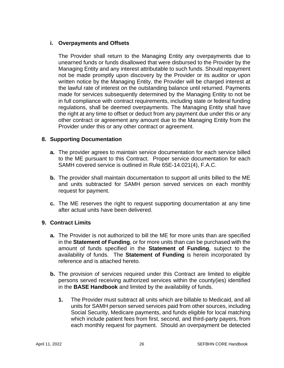## **i. Overpayments and Offsets**

The Provider shall return to the Managing Entity any overpayments due to unearned funds or funds disallowed that were disbursed to the Provider by the Managing Entity and any interest attributable to such funds. Should repayment not be made promptly upon discovery by the Provider or its auditor or upon written notice by the Managing Entity, the Provider will be charged interest at the lawful rate of interest on the outstanding balance until returned. Payments made for services subsequently determined by the Managing Entity to not be in full compliance with contract requirements, including state or federal funding regulations, shall be deemed overpayments. The Managing Entity shall have the right at any time to offset or deduct from any payment due under this or any other contract or agreement any amount due to the Managing Entity from the Provider under this or any other contract or agreement.

## **8. Supporting Documentation**

- **a.** The provider agrees to maintain service documentation for each service billed to the ME pursuant to this Contract. Proper service documentation for each SAMH covered service is outlined in Rule 65E-14.021(4), F.A.C.
- **b.** The provider shall maintain documentation to support all units billed to the ME and units subtracted for SAMH person served services on each monthly request for payment.
- **c.** The ME reserves the right to request supporting documentation at any time after actual units have been delivered.

## **9. Contract Limits**

- **a.** The Provider is not authorized to bill the ME for more units than are specified in the **Statement of Funding**, or for more units than can be purchased with the amount of funds specified in the **Statement of Funding**, subject to the availability of funds. The **Statement of Funding** is herein incorporated by reference and is attached hereto.
- **b.** The provision of services required under this Contract are limited to eligible persons served receiving authorized services within the county(ies) identified in the **BASE Handbook** and limited by the availability of funds.
	- **1.** The Provider must subtract all units which are billable to Medicaid, and all units for SAMH person served services paid from other sources, including Social Security, Medicare payments, and funds eligible for local matching which include patient fees from first, second, and third-party payers, from each monthly request for payment. Should an overpayment be detected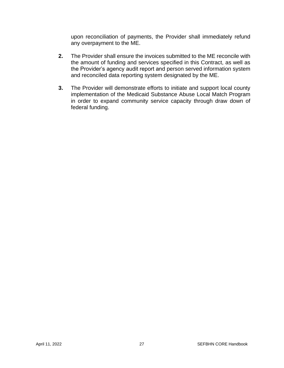upon reconciliation of payments, the Provider shall immediately refund any overpayment to the ME.

- **2.** The Provider shall ensure the invoices submitted to the ME reconcile with the amount of funding and services specified in this Contract, as well as the Provider's agency audit report and person served information system and reconciled data reporting system designated by the ME.
- **3.** The Provider will demonstrate efforts to initiate and support local county implementation of the Medicaid Substance Abuse Local Match Program in order to expand community service capacity through draw down of federal funding.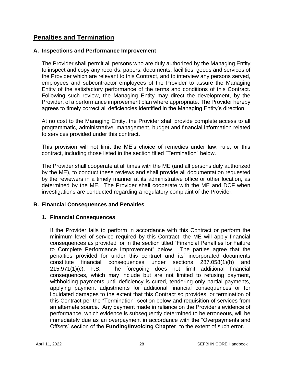# **Penalties and Termination**

## **A. Inspections and Performance Improvement**

The Provider shall permit all persons who are duly authorized by the Managing Entity to inspect and copy any records, papers, documents, facilities, goods and services of the Provider which are relevant to this Contract, and to interview any persons served, employees and subcontractor employees of the Provider to assure the Managing Entity of the satisfactory performance of the terms and conditions of this Contract. Following such review, the Managing Entity may direct the development, by the Provider, of a performance improvement plan where appropriate. The Provider hereby agrees to timely correct all deficiencies identified in the Managing Entity's direction.

At no cost to the Managing Entity, the Provider shall provide complete access to all programmatic, administrative, management, budget and financial information related to services provided under this contract.

This provision will not limit the ME's choice of remedies under law, rule, or this contract, including those listed in the section titled "Termination" below.

The Provider shall cooperate at all times with the ME (and all persons duly authorized by the ME), to conduct these reviews and shall provide all documentation requested by the reviewers in a timely manner at its administrative office or other location, as determined by the ME. The Provider shall cooperate with the ME and DCF when investigations are conducted regarding a regulatory complaint of the Provider.

## **B. Financial Consequences and Penalties**

## **1. Financial Consequences**

If the Provider fails to perform in accordance with this Contract or perform the minimum level of service required by this Contract, the ME will apply financial consequences as provided for in the section titled "Financial Penalties for Failure to Complete Performance Improvement" below. The parties agree that the penalties provided for under this contract and its' incorporated documents constitute financial consequences under sections 287.058(1)(h) and 215.971(1)(c), F.S. The foregoing does not limit additional financial consequences, which may include but are not limited to refusing payment, withholding payments until deficiency is cured, tendering only partial payments, applying payment adjustments for additional financial consequences or for liquidated damages to the extent that this Contract so provides, or termination of this Contract per the "Termination" section below and requisition of services from an alternate source. Any payment made in reliance on the Provider's evidence of performance, which evidence is subsequently determined to be erroneous, will be immediately due as an overpayment in accordance with the "Overpayments and Offsets" section of the **Funding/Invoicing Chapter**, to the extent of such error.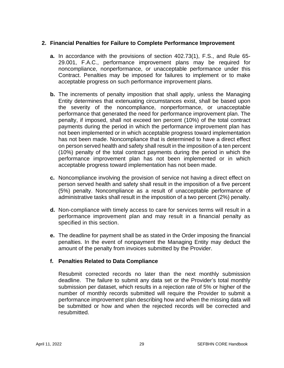## **2. Financial Penalties for Failure to Complete Performance Improvement**

- **a.** In accordance with the provisions of section 402.73(1), F.S., and Rule 65- 29.001, F.A.C., performance improvement plans may be required for noncompliance, nonperformance, or unacceptable performance under this Contract. Penalties may be imposed for failures to implement or to make acceptable progress on such performance improvement plans.
- **b.** The increments of penalty imposition that shall apply, unless the Managing Entity determines that extenuating circumstances exist, shall be based upon the severity of the noncompliance, nonperformance, or unacceptable performance that generated the need for performance improvement plan. The penalty, if imposed, shall not exceed ten percent (10%) of the total contract payments during the period in which the performance improvement plan has not been implemented or in which acceptable progress toward implementation has not been made. Noncompliance that is determined to have a direct effect on person served health and safety shall result in the imposition of a ten percent (10%) penalty of the total contract payments during the period in which the performance improvement plan has not been implemented or in which acceptable progress toward implementation has not been made.
- **c.** Noncompliance involving the provision of service not having a direct effect on person served health and safety shall result in the imposition of a five percent (5%) penalty. Noncompliance as a result of unacceptable performance of administrative tasks shall result in the imposition of a two percent (2%) penalty.
- **d.** Non-compliance with timely access to care for services terms will result in a performance improvement plan and may result in a financial penalty as specified in this section.
- **e.** The deadline for payment shall be as stated in the Order imposing the financial penalties. In the event of nonpayment the Managing Entity may deduct the amount of the penalty from invoices submitted by the Provider.

## **f. Penalties Related to Data Compliance**

Resubmit corrected records no later than the next monthly submission deadline. The failure to submit any data set or the Provider's total monthly submission per dataset, which results in a rejection rate of 5% or higher of the number of monthly records submitted will require the Provider to submit a performance improvement plan describing how and when the missing data will be submitted or how and when the rejected records will be corrected and resubmitted.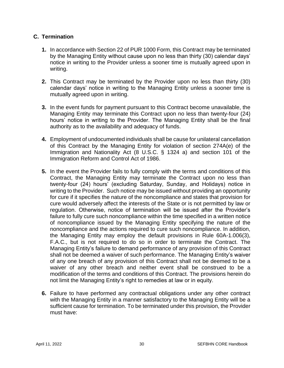## **C. Termination**

- **1.** In accordance with Section 22 of PUR 1000 Form, this Contract may be terminated by the Managing Entity without cause upon no less than thirty (30) calendar days' notice in writing to the Provider unless a sooner time is mutually agreed upon in writing.
- **2.** This Contract may be terminated by the Provider upon no less than thirty (30) calendar days' notice in writing to the Managing Entity unless a sooner time is mutually agreed upon in writing.
- **3.** In the event funds for payment pursuant to this Contract become unavailable, the Managing Entity may terminate this Contract upon no less than twenty-four (24) hours' notice in writing to the Provider. The Managing Entity shall be the final authority as to the availability and adequacy of funds.
- **4.** Employment of undocumented individuals shall be cause for unilateral cancellation of this Contract by the Managing Entity for violation of section 274A(e) of the Immigration and Nationality Act (8 U.S.C. § 1324 a) and section 101 of the Immigration Reform and Control Act of 1986.
- **5.** In the event the Provider fails to fully comply with the terms and conditions of this Contract, the Managing Entity may terminate the Contract upon no less than twenty-four (24) hours' (excluding Saturday, Sunday, and Holidays) notice in writing to the Provider. Such notice may be issued without providing an opportunity for cure if it specifies the nature of the noncompliance and states that provision for cure would adversely affect the interests of the State or is not permitted by law or regulation. Otherwise, notice of termination will be issued after the Provider's failure to fully cure such noncompliance within the time specified in a written notice of noncompliance issued by the Managing Entity specifying the nature of the noncompliance and the actions required to cure such noncompliance. In addition, the Managing Entity may employ the default provisions in Rule 60A-1.006(3), F.A.C., but is not required to do so in order to terminate the Contract. The Managing Entity's failure to demand performance of any provision of this Contract shall not be deemed a waiver of such performance. The Managing Entity's waiver of any one breach of any provision of this Contract shall not be deemed to be a waiver of any other breach and neither event shall be construed to be a modification of the terms and conditions of this Contract. The provisions herein do not limit the Managing Entity's right to remedies at law or in equity.
- **6.** Failure to have performed any contractual obligations under any other contract with the Managing Entity in a manner satisfactory to the Managing Entity will be a sufficient cause for termination. To be terminated under this provision, the Provider must have: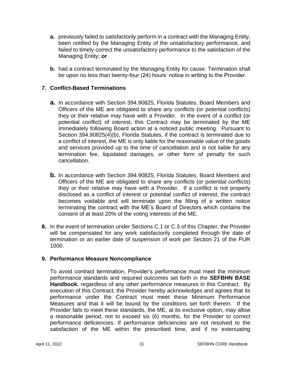- **a.** previously failed to satisfactorily perform in a contract with the Managing Entity, been notified by the Managing Entity of the unsatisfactory performance, and failed to timely correct the unsatisfactory performance to the satisfaction of the Managing Entity; **or**
- **b.** had a contract terminated by the Managing Entity for cause. Termination shall be upon no less than twenty-four (24) hours' notice in writing to the Provider.

## **7. Conflict-Based Terminations**

- **a.** In accordance with Section 394.90825, Florida Statutes, Board Members and Officers of the ME are obligated to share any conflicts (or potential conflicts) they or their relative may have with a Provider. In the event of a conflict (or potential conflict) of interest, this Contract may be terminated by the ME immediately following Board action at a noticed public meeting. Pursuant to Section 394.90825(4)(b), Florida Statutes, if the contract is terminated due to a conflict of interest, the ME is only liable for the reasonable value of the goods and services provided up to the time of cancellation and is not liable for any termination fee, liquidated damages, or other form of penalty for such cancellation.
- **b.** In accordance with Section 394.90825, Florida Statutes, Board Members and Officers of the ME are obligated to share any conflicts (or potential conflicts) they or their relative may have with a Provider. If a conflict is not properly disclosed as a conflict of interest or potential conflict of interest, the contract becomes voidable and will terminate upon the filling of a written notice terminating the contract with the ME's Board of Directors which contains the consent of at least 20% of the voting interests of the ME.
- **8.** In the event of termination under Sections C.1 or C.3 of this Chapter, the Provider will be compensated for any work satisfactorily completed through the date of termination or an earlier date of suspension of work per Section 21 of the PUR 1000.

## **9. Performance Measure Noncompliance**

To avoid contract termination, Provider's performance must meet the minimum performance standards and required outcomes set forth in the **SEFBHN BASE Handbook**, regardless of any other performance measures in this Contract. By execution of this Contract, the Provider hereby acknowledges and agrees that its performance under the Contract must meet these Minimum Performance Measures and that it will be bound by the conditions set forth therein. If the Provider fails to meet these standards, the ME, at its exclusive option, may allow a reasonable period, not to exceed six (6) months, for the Provider to correct performance deficiencies. If performance deficiencies are not resolved to the satisfaction of the ME within the prescribed time, and if no extenuating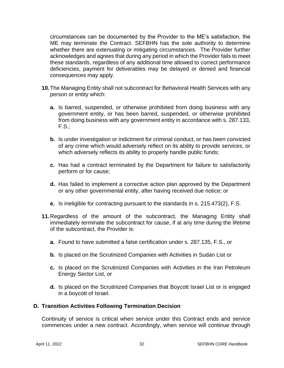circumstances can be documented by the Provider to the ME's satisfaction, the ME may terminate the Contract. SEFBHN has the sole authority to determine whether there are extenuating or mitigating circumstances. The Provider further acknowledges and agrees that during any period in which the Provider fails to meet these standards, regardless of any additional time allowed to correct performance deficiencies, payment for deliverables may be delayed or denied and financial consequences may apply.

- **10.**The Managing Entity shall not subcontract for Behavioral Health Services with any person or entity which:
	- **a.** Is barred, suspended, or otherwise prohibited from doing business with any government entity, or has been barred, suspended, or otherwise prohibited from doing business with any government entity in accordance with s. 287.133, F.S.;
	- **b.** Is under investigation or indictment for criminal conduct, or has been convicted of any crime which would adversely reflect on its ability to provide services, or which adversely reflects its ability to properly handle public funds;
	- **c.** Has had a contract terminated by the Department for failure to satisfactorily perform or for cause;
	- **d.** Has failed to implement a corrective action plan approved by the Department or any other governmental entity, after having received due notice; or
	- **e.** Is ineligible for contracting pursuant to the standards in s. 215.473(2), F.S.
- **11.**Regardless of the amount of the subcontract, the Managing Entity shall immediately terminate the subcontract for cause, if at any time during the lifetime of the subcontract, the Provider is:
	- **a.** Found to have submitted a false certification under s. 287.135, F.S., or
	- **b.** Is placed on the Scrutinized Companies with Activities in Sudan List or
	- **c.** Is placed on the Scrutinized Companies with Activities in the Iran Petroleum Energy Sector List, or
	- **d.** Is placed on the Scrutinized Companies that Boycott Israel List or is engaged in a boycott of Israel.

## **D. Transition Activities Following Termination Decision**

Continuity of service is critical when service under this Contract ends and service commences under a new contract. Accordingly, when service will continue through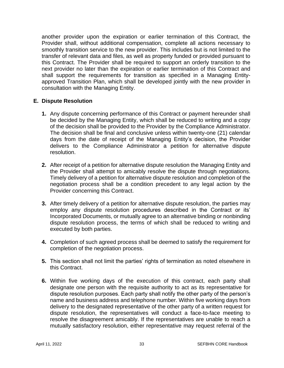another provider upon the expiration or earlier termination of this Contract, the Provider shall, without additional compensation, complete all actions necessary to smoothly transition service to the new provider. This includes but is not limited to the transfer of relevant data and files, as well as property funded or provided pursuant to this Contract. The Provider shall be required to support an orderly transition to the next provider no later than the expiration or earlier termination of this Contract and shall support the requirements for transition as specified in a Managing Entityapproved Transition Plan, which shall be developed jointly with the new provider in consultation with the Managing Entity.

## **E. Dispute Resolution**

- **1.** Any dispute concerning performance of this Contract or payment hereunder shall be decided by the Managing Entity, which shall be reduced to writing and a copy of the decision shall be provided to the Provider by the Compliance Administrator. The decision shall be final and conclusive unless within twenty-one (21) calendar days from the date of receipt of the Managing Entity's decision, the Provider delivers to the Compliance Administrator a petition for alternative dispute resolution.
- **2.** After receipt of a petition for alternative dispute resolution the Managing Entity and the Provider shall attempt to amicably resolve the dispute through negotiations. Timely delivery of a petition for alternative dispute resolution and completion of the negotiation process shall be a condition precedent to any legal action by the Provider concerning this Contract.
- **3.** After timely delivery of a petition for alternative dispute resolution, the parties may employ any dispute resolution procedures described in the Contract or its' Incorporated Documents, or mutually agree to an alternative binding or nonbinding dispute resolution process, the terms of which shall be reduced to writing and executed by both parties.
- **4.** Completion of such agreed process shall be deemed to satisfy the requirement for completion of the negotiation process.
- **5.** This section shall not limit the parties' rights of termination as noted elsewhere in this Contract.
- **6.** Within five working days of the execution of this contract, each party shall designate one person with the requisite authority to act as its representative for dispute resolution purposes. Each party shall notify the other party of the person's name and business address and telephone number. Within five working days from delivery to the designated representative of the other party of a written request for dispute resolution, the representatives will conduct a face-to-face meeting to resolve the disagreement amicably. If the representatives are unable to reach a mutually satisfactory resolution, either representative may request referral of the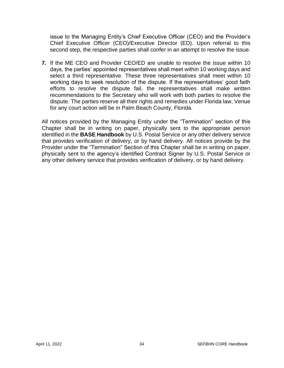issue to the Managing Entity's Chief Executive Officer (CEO) and the Provider's Chief Executive Officer (CEO)/Executive Director (ED). Upon referral to this second step, the respective parties shall confer in an attempt to resolve the issue.

**7.** If the ME CEO and Provider CEO/ED are unable to resolve the issue within 10 days, the parties' appointed representatives shall meet within 10 working days and select a third representative. These three representatives shall meet within 10 working days to seek resolution of the dispute. If the representatives' good faith efforts to resolve the dispute fail, the representatives shall make written recommendations to the Secretary who will work with both parties to resolve the dispute. The parties reserve all their rights and remedies under Florida law. Venue for any court action will be in Palm Beach County, Florida.

All notices provided by the Managing Entity under the "Termination" section of this Chapter shall be in writing on paper, physically sent to the appropriate person identified in the **BASE Handbook** by U.S. Postal Service or any other delivery service that provides verification of delivery, or by hand delivery. All notices provide by the Provider under the "Termination" Section of this Chapter shall be in writing on paper, physically sent to the agency's identified Contract Signer by U.S. Postal Service or any other delivery service that provides verification of delivery, or by hand delivery.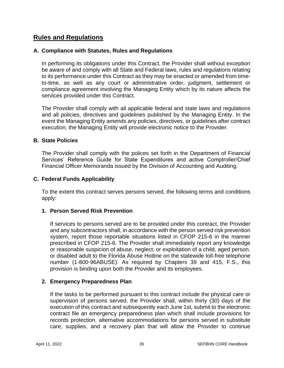# **Rules and Regulations**

## **A. Compliance with Statutes, Rules and Regulations**

In performing its obligations under this Contract, the Provider shall without exception be aware of and comply with all State and Federal laws, rules and regulations relating to its performance under this Contract as they may be enacted or amended from timeto-time, as well as any court or administrative order, judgment, settlement or compliance agreement involving the Managing Entity which by its nature affects the services provided under this Contract.

The Provider shall comply with all applicable federal and state laws and regulations and all policies, directives and guidelines published by the Managing Entity. In the event the Managing Entity amends any policies, directives, or guidelines after contract execution, the Managing Entity will provide electronic notice to the Provider.

## **B. State Policies**

The Provider shall comply with the polices set forth in the Department of Financial Services' Reference Guide for State Expenditures and active Comptroller/Chief Financial Officer Memoranda issued by the Division of Accounting and Auditing.

## **C. Federal Funds Applicability**

To the extent this contract serves persons served, the following terms and conditions apply:

## **1. Person Served Risk Prevention**

If services to persons served are to be provided under this contract, the Provider and any subcontractors shall, in accordance with the person served risk prevention system, report those reportable situations listed in CFOP 215-6 in the manner prescribed in CFOP 215-6. The Provider shall immediately report any knowledge or reasonable suspicion of abuse, neglect, or exploitation of a child, aged person, or disabled adult to the Florida Abuse Hotline on the statewide toll-free telephone number (1-800-96ABUSE). As required by Chapters 39 and 415, F.S., this provision is binding upon both the Provider and its employees.

## **2. Emergency Preparedness Plan**

If the tasks to be performed pursuant to this contract include the physical care or supervision of persons served, the Provider shall, within thirty (30) days of the execution of this contract and subsequently each June 1st, submit to the electronic contract file an emergency preparedness plan which shall include provisions for records protection, alternative accommodations for persons served in substitute care, supplies, and a recovery plan that will allow the Provider to continue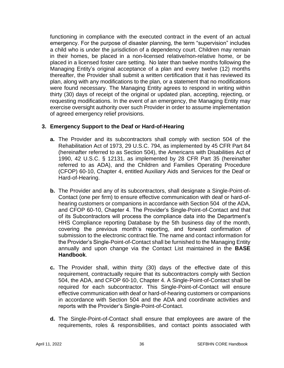functioning in compliance with the executed contract in the event of an actual emergency. For the purpose of disaster planning, the term "supervision" includes a child who is under the jurisdiction of a dependency court. Children may remain in their homes, be placed in a non-licensed relative/non-relative home, or be placed in a licensed foster care setting. No later than twelve months following the Managing Entity's original acceptance of a plan and every twelve (12) months thereafter, the Provider shall submit a written certification that it has reviewed its plan, along with any modifications to the plan, or a statement that no modifications were found necessary. The Managing Entity agrees to respond in writing within thirty (30) days of receipt of the original or updated plan, accepting, rejecting, or requesting modifications. In the event of an emergency, the Managing Entity may exercise oversight authority over such Provider in order to assume implementation of agreed emergency relief provisions.

## **3. Emergency Support to the Deaf or Hard-of-Hearing**

- **a.** The Provider and its subcontractors shall comply with section 504 of the Rehabilitation Act of 1973, 29 U.S.C. 794, as implemented by 45 CFR Part 84 (hereinafter referred to as Section 504), the Americans with Disabilities Act of 1990, 42 U.S.C. § 12131, as implemented by 28 CFR Part 35 (hereinafter referred to as ADA), and the Children and Families Operating Procedure (CFOP) 60-10, Chapter 4, entitled Auxiliary Aids and Services for the Deaf or Hard-of-Hearing.
- **b.** The Provider and any of its subcontractors, shall designate a Single-Point-of-Contact (one per firm) to ensure effective communication with deaf or hard-ofhearing customers or companions in accordance with Section 504 of the ADA, and CFOP 60-10, Chapter 4. The Provider's Single-Point-of-Contact and that of its Subcontractors will process the compliance data into the Department's HHS Compliance reporting Database by the 5th business day of the month, covering the previous month's reporting, and forward confirmation of submission to the electronic contract file. The name and contact information for the Provider's Single-Point-of-Contact shall be furnished to the Managing Entity annually and upon change via the Contact List maintained in the **BASE Handbook**.
- **c.** The Provider shall, within thirty (30) days of the effective date of this requirement, contractually require that its subcontractors comply with Section 504, the ADA, and CFOP 60-10, Chapter 4. A Single-Point-of-Contact shall be required for each subcontractor. This Single-Point-of-Contact will ensure effective communication with deaf or hard-of-hearing customers or companions in accordance with Section 504 and the ADA and coordinate activities and reports with the Provider's Single-Point-of-Contact.
- **d.** The Single-Point-of-Contact shall ensure that employees are aware of the requirements, roles & responsibilities, and contact points associated with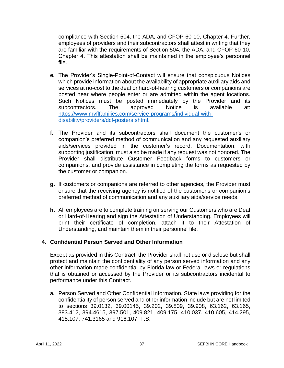compliance with Section 504, the ADA, and CFOP 60-10, Chapter 4. Further, employees of providers and their subcontractors shall attest in writing that they are familiar with the requirements of Section 504, the ADA, and CFOP 60-10, Chapter 4. This attestation shall be maintained in the employee's personnel file.

- **e.** The Provider's Single-Point-of-Contact will ensure that conspicuous Notices which provide information about the availability of appropriate auxiliary aids and services at no-cost to the deaf or hard-of-hearing customers or companions are posted near where people enter or are admitted within the agent locations. Such Notices must be posted immediately by the Provider and its subcontractors. The approved Notice is available at: subcontractors. The approved Notice is available at: [https://www.myflfamilies.com/service-programs/individual-with](https://www.myflfamilies.com/service-programs/individual-with-disability/providers/dcf-posters.shtml)[disability/providers/dcf-posters.shtml.](https://www.myflfamilies.com/service-programs/individual-with-disability/providers/dcf-posters.shtml)
- **f.** The Provider and its subcontractors shall document the customer's or companion's preferred method of communication and any requested auxiliary aids/services provided in the customer's record. Documentation, with supporting justification, must also be made if any request was not honored. The Provider shall distribute Customer Feedback forms to customers or companions, and provide assistance in completing the forms as requested by the customer or companion.
- **g.** If customers or companions are referred to other agencies, the Provider must ensure that the receiving agency is notified of the customer's or companion's preferred method of communication and any auxiliary aids/service needs.
- **h.** All employees are to complete training on serving our Customers who are Deaf or Hard-of-Hearing and sign the Attestation of Understanding. Employees will print their certificate of completion, attach it to their Attestation of Understanding, and maintain them in their personnel file.

#### **4. Confidential Person Served and Other Information**

Except as provided in this Contract, the Provider shall not use or disclose but shall protect and maintain the confidentiality of any person served information and any other information made confidential by Florida law or Federal laws or regulations that is obtained or accessed by the Provider or its subcontractors incidental to performance under this Contract.

**a.** Person Served and Other Confidential Information. State laws providing for the confidentiality of person served and other information include but are not limited to sections 39.0132, 39.00145, 39.202, 39.809, 39.908, 63.162, 63.165, 383.412, 394.4615, 397.501, 409.821, 409.175, 410.037, 410.605, 414.295, 415.107, 741.3165 and 916.107, F.S.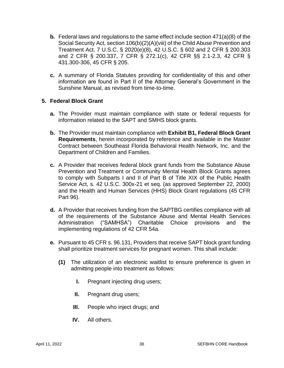- **b.** Federal laws and regulations to the same effect include section 471(a)(8) of the Social Security Act, section 106(b)(2)(A)(viii) of the Child Abuse Prevention and Treatment Act, 7 U.S.C. § 2020(e)(8), 42 U.S.C. § 602 and 2 CFR § 200.303 and 2 CFR § 200.337, 7 CFR § 272.1(c), 42 CFR §§ 2.1-2.3, 42 CFR § 431.300-306, 45 CFR § 205.
- **c.** A summary of Florida Statutes providing for confidentiality of this and other information are found in Part II of the Attorney General's Government in the Sunshine Manual, as revised from time-to-time.

#### **5. Federal Block Grant**

- **a.** The Provider must maintain compliance with state or federal requests for information related to the SAPT and SMHS block grants.
- **b.** The Provider must maintain compliance with **Exhibit B1, Federal Block Grant Requirements**, herein incorporated by reference and available in the Master Contract between Southeast Florida Behavioral Health Network, Inc. and the Department of Children and Families.
- **c.** A Provider that receives federal block grant funds from the Substance Abuse Prevention and Treatment or Community Mental Health Block Grants agrees to comply with Subparts I and II of Part B of Title XIX of the Public Health Service Act, s. 42 U.S.C. 300x-21 et seq. (as approved September 22, 2000) and the Health and Human Services (HHS) Block Grant regulations (45 CFR Part 96).
- **d.** A Provider that receives funding from the SAPTBG certifies compliance with all of the requirements of the Substance Abuse and Mental Health Services Administration ("SAMHSA") Charitable Choice provisions and the implementing regulations of 42 CFR 54a.
- **e.** Pursuant to 45 CFR s. 96.131, Providers that receive SAPT block grant funding shall prioritize treatment services for pregnant women. This shall include:
	- **(1)** The utilization of an electronic waitlist to ensure preference is given in admitting people into treatment as follows:
		- **I.** Pregnant injecting drug users;
		- **II.** Pregnant drug users;
		- **III.** People who inject drugs; and
		- **IV.** All others.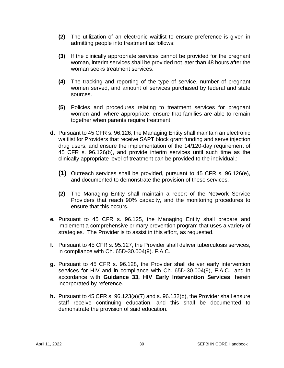- **(2)** The utilization of an electronic waitlist to ensure preference is given in admitting people into treatment as follows:
- **(3)** If the clinically appropriate services cannot be provided for the pregnant woman, interim services shall be provided not later than 48 hours after the woman seeks treatment services.
- **(4)** The tracking and reporting of the type of service, number of pregnant women served, and amount of services purchased by federal and state sources.
- **(5)** Policies and procedures relating to treatment services for pregnant women and, where appropriate, ensure that families are able to remain together when parents require treatment.
- **d.** Pursuant to 45 CFR s. 96.126, the Managing Entity shall maintain an electronic waitlist for Providers that receive SAPT block grant funding and serve injection drug users, and ensure the implementation of the 14/120-day requirement of 45 CFR s. 96.126(b), and provide interim services until such time as the clinically appropriate level of treatment can be provided to the individual.:
	- **(1)** Outreach services shall be provided, pursuant to 45 CFR s. 96.126(e), and documented to demonstrate the provision of these services.
	- **(2)** The Managing Entity shall maintain a report of the Network Service Providers that reach 90% capacity, and the monitoring procedures to ensure that this occurs.
- **e.** Pursuant to 45 CFR s. 96.125, the Managing Entity shall prepare and implement a comprehensive primary prevention program that uses a variety of strategies. The Provider is to assist in this effort, as requested.
- **f.** Pursuant to 45 CFR s. 95.127, the Provider shall deliver tuberculosis services, in compliance with Ch. 65D-30.004(9). F.A.C.
- **g.** Pursuant to 45 CFR s. 96.128, the Provider shall deliver early intervention services for HIV and in compliance with Ch. 65D-30.004(9), F.A.C., and in accordance with **Guidance 33, HIV Early Intervention Services**, herein incorporated by reference.
- **h.** Pursuant to 45 CFR s. 96.123(a)(7) and s. 96.132(b), the Provider shall ensure staff receive continuing education, and this shall be documented to demonstrate the provision of said education.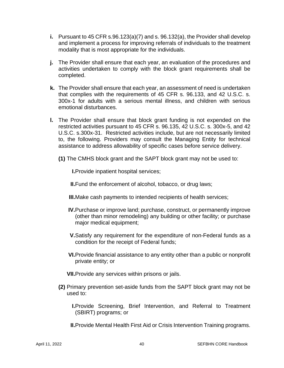- **i.** Pursuant to 45 CFR s.96.123(a)(7) and s. 96.132(a), the Provider shall develop and implement a process for improving referrals of individuals to the treatment modality that is most appropriate for the individuals.
- **j.** The Provider shall ensure that each year, an evaluation of the procedures and activities undertaken to comply with the block grant requirements shall be completed.
- **k.** The Provider shall ensure that each year, an assessment of need is undertaken that complies with the requirements of 45 CFR s. 96.133, and 42 U.S.C. s. 300x-1 for adults with a serious mental illness, and children with serious emotional disturbances.
- **l.** The Provider shall ensure that block grant funding is not expended on the restricted activities pursuant to 45 CFR s. 96.135, 42 U.S.C. s. 300x-5, and 42 U.S.C. s.300x-31. Restricted activities include, but are not necessarily limited to, the following. Providers may consult the Managing Entity for technical assistance to address allowability of specific cases before service delivery.
	- **(1)** The CMHS block grant and the SAPT block grant may not be used to:

**I.**Provide inpatient hospital services;

**II.**Fund the enforcement of alcohol, tobacco, or drug laws;

- **III.**Make cash payments to intended recipients of health services;
- **IV.**Purchase or improve land; purchase, construct, or permanently improve (other than minor remodeling) any building or other facility; or purchase major medical equipment;
- **V.**Satisfy any requirement for the expenditure of non-Federal funds as a condition for the receipt of Federal funds;
- **VI.**Provide financial assistance to any entity other than a public or nonprofit private entity; or
- **VII.**Provide any services within prisons or jails.
- **(2)** Primary prevention set-aside funds from the SAPT block grant may not be used to:
	- **I.**Provide Screening, Brief Intervention, and Referral to Treatment (SBIRT) programs; or

**II.**Provide Mental Health First Aid or Crisis Intervention Training programs.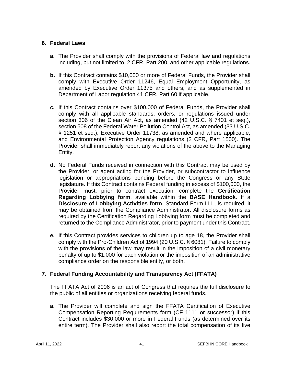## **6. Federal Laws**

- **a.** The Provider shall comply with the provisions of Federal law and regulations including, but not limited to, 2 CFR, Part 200, and other applicable regulations.
- **b.** If this Contract contains \$10,000 or more of Federal Funds, the Provider shall comply with Executive Order 11246, Equal Employment Opportunity, as amended by Executive Order 11375 and others, and as supplemented in Department of Labor regulation 41 CFR, Part 60 if applicable.
- **c.** If this Contract contains over \$100,000 of Federal Funds, the Provider shall comply with all applicable standards, orders, or regulations issued under section 306 of the Clean Air Act, as amended (42 U.S.C. § 7401 et seq.), section 508 of the Federal Water Pollution Control Act, as amended (33 U.S.C. § 1251 et seq.), Executive Order 11738, as amended and where applicable, and Environmental Protection Agency regulations (2 CFR, Part 1500). The Provider shall immediately report any violations of the above to the Managing Entity.
- **d.** No Federal Funds received in connection with this Contract may be used by the Provider, or agent acting for the Provider, or subcontractor to influence legislation or appropriations pending before the Congress or any State legislature. If this Contract contains Federal funding in excess of \$100,000, the Provider must, prior to contract execution, complete the **Certification Regarding Lobbying form**, available within the **BASE Handbook**. If a **Disclosure of Lobbying Activities form**, Standard Form LLL, is required, it may be obtained from the Compliance Administrator. All disclosure forms as required by the Certification Regarding Lobbying form must be completed and returned to the Compliance Administrator, prior to payment under this Contract.
- **e.** If this Contract provides services to children up to age 18, the Provider shall comply with the Pro-Children Act of 1994 (20 U.S.C. § 6081). Failure to comply with the provisions of the law may result in the imposition of a civil monetary penalty of up to \$1,000 for each violation or the imposition of an administrative compliance order on the responsible entity, or both.

## **7. Federal Funding Accountability and Transparency Act (FFATA)**

The FFATA Act of 2006 is an act of Congress that requires the full disclosure to the public of all entities or organizations receiving federal funds.

**a.** The Provider will complete and sign the FFATA Certification of Executive Compensation Reporting Requirements form (CF 1111 or successor) if this Contract includes \$30,000 or more in Federal Funds (as determined over its entire term). The Provider shall also report the total compensation of its five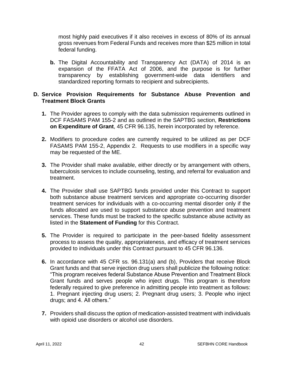most highly paid executives if it also receives in excess of 80% of its annual gross revenues from Federal Funds and receives more than \$25 million in total federal funding.

**b.** The Digital Accountability and Transparency Act (DATA) of 2014 is an expansion of the FFATA Act of 2006, and the purpose is for further transparency by establishing government-wide data identifiers and standardized reporting formats to recipient and subrecipients.

#### **D. Service Provision Requirements for Substance Abuse Prevention and Treatment Block Grants**

- **1.** The Provider agrees to comply with the data submission requirements outlined in DCF FASAMS PAM 155-2 and as outlined in the SAPTBG section, **Restrictions on Expenditure of Grant**, 45 CFR 96.135, herein incorporated by reference.
- **2.** Modifiers to procedure codes are currently required to be utilized as per DCF FASAMS PAM 155-2, Appendix 2. Requests to use modifiers in a specific way may be requested of the ME.
- **3.** The Provider shall make available, either directly or by arrangement with others, tuberculosis services to include counseling, testing, and referral for evaluation and treatment.
- **4.** The Provider shall use SAPTBG funds provided under this Contract to support both substance abuse treatment services and appropriate co-occurring disorder treatment services for individuals with a co-occurring mental disorder only if the funds allocated are used to support substance abuse prevention and treatment services. These funds must be tracked to the specific substance abuse activity as listed in the **Statement of Funding** for this Contract.
- **5.** The Provider is required to participate in the peer-based fidelity assessment process to assess the quality, appropriateness, and efficacy of treatment services provided to individuals under this Contract pursuant to 45 CFR 96.136.
- **6.** In accordance with 45 CFR ss. 96.131(a) and (b), Providers that receive Block Grant funds and that serve injection drug users shall publicize the following notice: "This program receives federal Substance Abuse Prevention and Treatment Block Grant funds and serves people who inject drugs. This program is therefore federally required to give preference in admitting people into treatment as follows: 1. Pregnant injecting drug users; 2. Pregnant drug users; 3. People who inject drugs; and 4. All others."
- **7.** Providers shall discuss the option of medication-assisted treatment with individuals with opioid use disorders or alcohol use disorders.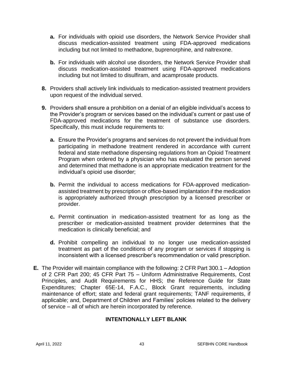- **a.** For individuals with opioid use disorders, the Network Service Provider shall discuss medication-assisted treatment using FDA-approved medications including but not limited to methadone, buprenorphine, and naltrexone.
- **b.** For individuals with alcohol use disorders, the Network Service Provider shall discuss medication-assisted treatment using FDA-approved medications including but not limited to disulfiram, and acamprosate products.
- **8.** Providers shall actively link individuals to medication-assisted treatment providers upon request of the individual served.
- **9.** Providers shall ensure a prohibition on a denial of an eligible individual's access to the Provider's program or services based on the individual's current or past use of FDA-approved medications for the treatment of substance use disorders. Specifically, this must include requirements to:
	- **a.** Ensure the Provider's programs and services do not prevent the individual from participating in methadone treatment rendered in accordance with current federal and state methadone dispensing regulations from an Opioid Treatment Program when ordered by a physician who has evaluated the person served and determined that methadone is an appropriate medication treatment for the individual's opioid use disorder;
	- **b.** Permit the individual to access medications for FDA-approved medicationassisted treatment by prescription or office-based implantation if the medication is appropriately authorized through prescription by a licensed prescriber or provider.
	- **c.** Permit continuation in medication-assisted treatment for as long as the prescriber or medication-assisted treatment provider determines that the medication is clinically beneficial; and
	- **d.** Prohibit compelling an individual to no longer use medication-assisted treatment as part of the conditions of any program or services if stopping is inconsistent with a licensed prescriber's recommendation or valid prescription.
- **E.** The Provider will maintain compliance with the following: 2 CFR Part 300.1 Adoption of 2 CFR Part 200; 45 CFR Part 75 – Uniform Administrative Requirements, Cost Principles, and Audit Requirements for HHS; the Reference Guide for State Expenditures; Chapter 65E-14, F.A.C., Block Grant requirements, including maintenance of effort; state and federal grant requirements; TANF requirements, if applicable; and, Department of Children and Families' policies related to the delivery of service – all of which are herein incorporated by reference.

## **INTENTIONALLY LEFT BLANK**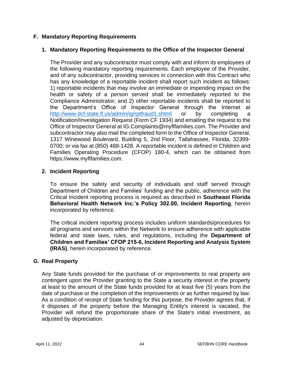## **F. Mandatory Reporting Requirements**

## **1. Mandatory Reporting Requirements to the Office of the Inspector General**

The Provider and any subcontractor must comply with and inform its employees of the following mandatory reporting requirements. Each employee of the Provider, and of any subcontractor, providing services in connection with this Contract who has any knowledge of a reportable incident shall report such incident as follows: 1) reportable incidents that may involve an immediate or impending impact on the health or safety of a person served shall be immediately reported to the Compliance Administrator; and 2) other reportable incidents shall be reported to the Department's Office of Inspector General through the Internet at <http://www.dcf.state.fl.us/admin/ig/rptfraud1.shtml> or by completing a Notification/Investigation Request (Form CF 1934) and emailing the request to the Office of Inspector General at IG.Complaints@myflfamilies.com. The Provider and subcontractor may also mail the completed form to the Office of Inspector General, 1317 Winewood Boulevard, Building 5, 2nd Floor, Tallahassee, Florida, 32399- 0700; or via fax at (850) 488-1428. A reportable incident is defined in Children and Families Operating Procedure (CFOP) 180-4, which can be obtained from https://www.myflfamilies.com.

#### **2. Incident Reporting**

To ensure the safety and security of individuals and staff served through Department of Children and Families' funding and the public, adherence with the Critical Incident reporting process is required as described in **Southeast Florida Behavioral Health Network Inc.'s Policy 302.00, Incident Reporting**, herein incorporated by reference.

The critical incident reporting process includes uniform standards/procedures for all programs and services within the Network to ensure adherence with applicable federal and state laws, rules, and regulations, including the **Department of Children and Families' CFOP 215-6, Incident Reporting and Analysis System (IRAS)**, herein incorporated by reference.

#### **G. Real Property**

Any State funds provided for the purchase of or improvements to real property are contingent upon the Provider granting to the State a security interest in the property at least to the amount of the State funds provided for at least five (5) years from the date of purchase or the completion of the improvements or as further required by law. As a condition of receipt of State funding for this purpose, the Provider agrees that, if it disposes of the property before the Managing Entity's interest is vacated, the Provider will refund the proportionate share of the State's initial investment, as adjusted by depreciation.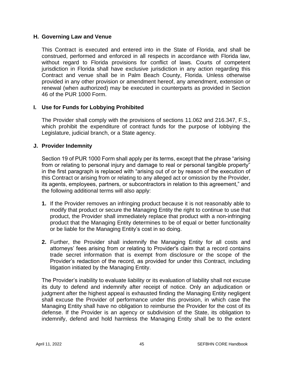#### **H. Governing Law and Venue**

This Contract is executed and entered into in the State of Florida, and shall be construed, performed and enforced in all respects in accordance with Florida law, without regard to Florida provisions for conflict of laws. Courts of competent jurisdiction in Florida shall have exclusive jurisdiction in any action regarding this Contract and venue shall be in Palm Beach County, Florida. Unless otherwise provided in any other provision or amendment hereof, any amendment, extension or renewal (when authorized) may be executed in counterparts as provided in Section 46 of the PUR 1000 Form.

#### **I. Use for Funds for Lobbying Prohibited**

The Provider shall comply with the provisions of sections 11.062 and 216.347, F.S., which prohibit the expenditure of contract funds for the purpose of lobbying the Legislature, judicial branch, or a State agency.

#### **J. Provider Indemnity**

Section 19 of PUR 1000 Form shall apply per its terms, except that the phrase "arising from or relating to personal injury and damage to real or personal tangible property" in the first paragraph is replaced with "arising out of or by reason of the execution of this Contract or arising from or relating to any alleged act or omission by the Provider, its agents, employees, partners, or subcontractors in relation to this agreement," and the following additional terms will also apply:

- **1.** If the Provider removes an infringing product because it is not reasonably able to modify that product or secure the Managing Entity the right to continue to use that product, the Provider shall immediately replace that product with a non-infringing product that the Managing Entity determines to be of equal or better functionality or be liable for the Managing Entity's cost in so doing.
- **2.** Further, the Provider shall indemnify the Managing Entity for all costs and attorneys' fees arising from or relating to Provider's claim that a record contains trade secret information that is exempt from disclosure or the scope of the Provider's redaction of the record, as provided for under this Contract, including litigation initiated by the Managing Entity.

The Provider's inability to evaluate liability or its evaluation of liability shall not excuse its duty to defend and indemnify after receipt of notice. Only an adjudication or judgment after the highest appeal is exhausted finding the Managing Entity negligent shall excuse the Provider of performance under this provision, in which case the Managing Entity shall have no obligation to reimburse the Provider for the cost of its defense. If the Provider is an agency or subdivision of the State, its obligation to indemnify, defend and hold harmless the Managing Entity shall be to the extent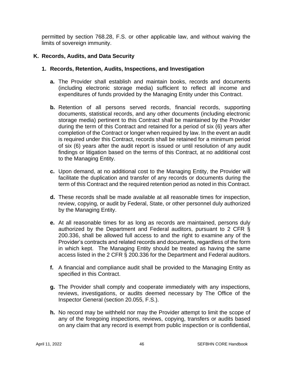permitted by section 768.28, F.S. or other applicable law, and without waiving the limits of sovereign immunity.

## **K. Records, Audits, and Data Security**

### **1. Records, Retention, Audits, Inspections, and Investigation**

- **a.** The Provider shall establish and maintain books, records and documents (including electronic storage media) sufficient to reflect all income and expenditures of funds provided by the Managing Entity under this Contract.
- **b.** Retention of all persons served records, financial records, supporting documents, statistical records, and any other documents (including electronic storage media) pertinent to this Contract shall be maintained by the Provider during the term of this Contract and retained for a period of six (6) years after completion of the Contract or longer when required by law. In the event an audit is required under this Contract, records shall be retained for a minimum period of six (6) years after the audit report is issued or until resolution of any audit findings or litigation based on the terms of this Contract, at no additional cost to the Managing Entity.
- **c.** Upon demand, at no additional cost to the Managing Entity, the Provider will facilitate the duplication and transfer of any records or documents during the term of this Contract and the required retention period as noted in this Contract.
- **d.** These records shall be made available at all reasonable times for inspection, review, copying, or audit by Federal, State, or other personnel duly authorized by the Managing Entity.
- **e.** At all reasonable times for as long as records are maintained, persons duly authorized by the Department and Federal auditors, pursuant to 2 CFR § 200.336, shall be allowed full access to and the right to examine any of the Provider's contracts and related records and documents, regardless of the form in which kept. The Managing Entity should be treated as having the same access listed in the 2 CFR § 200.336 for the Department and Federal auditors.
- **f.** A financial and compliance audit shall be provided to the Managing Entity as specified in this Contract.
- **g.** The Provider shall comply and cooperate immediately with any inspections, reviews, investigations, or audits deemed necessary by The Office of the Inspector General (section 20.055, F.S.).
- **h.** No record may be withheld nor may the Provider attempt to limit the scope of any of the foregoing inspections, reviews, copying, transfers or audits based on any claim that any record is exempt from public inspection or is confidential,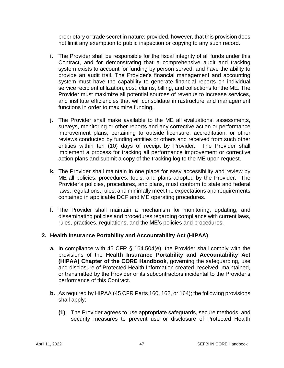proprietary or trade secret in nature; provided, however, that this provision does not limit any exemption to public inspection or copying to any such record.

- **i.** The Provider shall be responsible for the fiscal integrity of all funds under this Contract, and for demonstrating that a comprehensive audit and tracking system exists to account for funding by person served, and have the ability to provide an audit trail. The Provider's financial management and accounting system must have the capability to generate financial reports on individual service recipient utilization, cost, claims, billing, and collections for the ME. The Provider must maximize all potential sources of revenue to increase services, and institute efficiencies that will consolidate infrastructure and management functions in order to maximize funding.
- **j.** The Provider shall make available to the ME all evaluations, assessments, surveys, monitoring or other reports and any corrective action or performance improvement plans, pertaining to outside licensure, accreditation, or other reviews conducted by funding entities or others and received from such other entities within ten (10) days of receipt by Provider. The Provider shall implement a process for tracking all performance improvement or corrective action plans and submit a copy of the tracking log to the ME upon request.
- **k.** The Provider shall maintain in one place for easy accessibility and review by ME all policies, procedures, tools, and plans adopted by the Provider. The Provider's policies, procedures, and plans, must conform to state and federal laws, regulations, rules, and minimally meet the expectations and requirements contained in applicable DCF and ME operating procedures.
- **l.** The Provider shall maintain a mechanism for monitoring, updating, and disseminating policies and procedures regarding compliance with current laws, rules, practices, regulations, and the ME's policies and procedures.

## **2. Health Insurance Portability and Accountability Act (HIPAA)**

- **a.** In compliance with 45 CFR § 164.504(e), the Provider shall comply with the provisions of the **Health Insurance Portability and Accountability Act (HIPAA) Chapter of the CORE Handbook**, governing the safeguarding, use and disclosure of Protected Health Information created, received, maintained, or transmitted by the Provider or its subcontractors incidental to the Provider's performance of this Contract.
- **b.** As required by HIPAA (45 CFR Parts 160, 162, or 164); the following provisions shall apply:
	- **(1)** The Provider agrees to use appropriate safeguards, secure methods, and security measures to prevent use or disclosure of Protected Health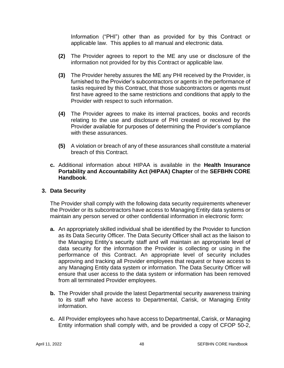Information ("PHI") other than as provided for by this Contract or applicable law. This applies to all manual and electronic data.

- **(2)** The Provider agrees to report to the ME any use or disclosure of the information not provided for by this Contract or applicable law.
- **(3)** The Provider hereby assures the ME any PHI received by the Provider, is furnished to the Provider's subcontractors or agents in the performance of tasks required by this Contract, that those subcontractors or agents must first have agreed to the same restrictions and conditions that apply to the Provider with respect to such information.
- **(4)** The Provider agrees to make its internal practices, books and records relating to the use and disclosure of PHI created or received by the Provider available for purposes of determining the Provider's compliance with these assurances.
- **(5)** A violation or breach of any of these assurances shall constitute a material breach of this Contract.
- **c.** Additional information about HIPAA is available in the **Health Insurance Portability and Accountability Act (HIPAA) Chapter** of the **SEFBHN CORE Handbook**.

#### **3. Data Security**

The Provider shall comply with the following data security requirements whenever the Provider or its subcontractors have access to Managing Entity data systems or maintain any person served or other confidential information in electronic form:

- **a.** An appropriately skilled individual shall be identified by the Provider to function as its Data Security Officer. The Data Security Officer shall act as the liaison to the Managing Entity's security staff and will maintain an appropriate level of data security for the information the Provider is collecting or using in the performance of this Contract. An appropriate level of security includes approving and tracking all Provider employees that request or have access to any Managing Entity data system or information. The Data Security Officer will ensure that user access to the data system or information has been removed from all terminated Provider employees.
- **b.** The Provider shall provide the latest Departmental security awareness training to its staff who have access to Departmental, Carisk, or Managing Entity information.
- **c.** All Provider employees who have access to Departmental, Carisk, or Managing Entity information shall comply with, and be provided a copy of CFOP 50-2,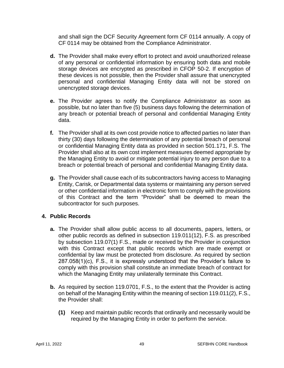and shall sign the DCF Security Agreement form CF 0114 annually. A copy of CF 0114 may be obtained from the Compliance Administrator.

- **d.** The Provider shall make every effort to protect and avoid unauthorized release of any personal or confidential information by ensuring both data and mobile storage devices are encrypted as prescribed in CFOP 50-2. If encryption of these devices is not possible, then the Provider shall assure that unencrypted personal and confidential Managing Entity data will not be stored on unencrypted storage devices.
- **e.** The Provider agrees to notify the Compliance Administrator as soon as possible, but no later than five (5) business days following the determination of any breach or potential breach of personal and confidential Managing Entity data.
- **f.** The Provider shall at its own cost provide notice to affected parties no later than thirty (30) days following the determination of any potential breach of personal or confidential Managing Entity data as provided in section 501.171, F.S. The Provider shall also at its own cost implement measures deemed appropriate by the Managing Entity to avoid or mitigate potential injury to any person due to a breach or potential breach of personal and confidential Managing Entity data.
- **g.** The Provider shall cause each of its subcontractors having access to Managing Entity, Carisk, or Departmental data systems or maintaining any person served or other confidential information in electronic form to comply with the provisions of this Contract and the term "Provider" shall be deemed to mean the subcontractor for such purposes.

#### **4. Public Records**

- **a.** The Provider shall allow public access to all documents, papers, letters, or other public records as defined in subsection 119.011(12), F.S. as prescribed by subsection 119.07(1) F.S., made or received by the Provider in conjunction with this Contract except that public records which are made exempt or confidential by law must be protected from disclosure. As required by section 287.058(1)(c), F.S., it is expressly understood that the Provider's failure to comply with this provision shall constitute an immediate breach of contract for which the Managing Entity may unilaterally terminate this Contract.
- **b.** As required by section 119.0701, F.S., to the extent that the Provider is acting on behalf of the Managing Entity within the meaning of section 119.011(2), F.S., the Provider shall:
	- **(1)** Keep and maintain public records that ordinarily and necessarily would be required by the Managing Entity in order to perform the service.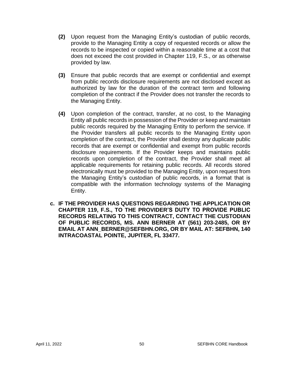- **(2)** Upon request from the Managing Entity's custodian of public records, provide to the Managing Entity a copy of requested records or allow the records to be inspected or copied within a reasonable time at a cost that does not exceed the cost provided in Chapter 119, F.S., or as otherwise provided by law.
- **(3)** Ensure that public records that are exempt or confidential and exempt from public records disclosure requirements are not disclosed except as authorized by law for the duration of the contract term and following completion of the contract if the Provider does not transfer the records to the Managing Entity.
- **(4)** Upon completion of the contract, transfer, at no cost, to the Managing Entity all public records in possession of the Provider or keep and maintain public records required by the Managing Entity to perform the service. If the Provider transfers all public records to the Managing Entity upon completion of the contract, the Provider shall destroy any duplicate public records that are exempt or confidential and exempt from public records disclosure requirements. If the Provider keeps and maintains public records upon completion of the contract, the Provider shall meet all applicable requirements for retaining public records. All records stored electronically must be provided to the Managing Entity, upon request from the Managing Entity's custodian of public records, in a format that is compatible with the information technology systems of the Managing Entity.
- **c. IF THE PROVIDER HAS QUESTIONS REGARDING THE APPLICATION OR CHAPTER 119, F.S., TO THE PROVIDER'S DUTY TO PROVIDE PUBLIC RECORDS RELATING TO THIS CONTRACT, CONTACT THE CUSTODIAN OF PUBLIC RECORDS, MS. ANN BERNER AT (561) 203-2485, OR BY EMAIL AT ANN\_BERNER@SEFBHN.ORG, OR BY MAIL AT: SEFBHN, 140 INTRACOASTAL POINTE, JUPITER, FL 33477.**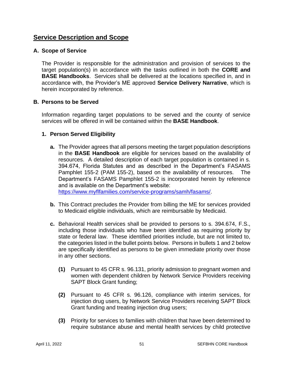## **Service Description and Scope**

#### **A. Scope of Service**

The Provider is responsible for the administration and provision of services to the target population(s) in accordance with the tasks outlined in both the **CORE and BASE Handbooks**. Services shall be delivered at the locations specified in, and in accordance with, the Provider's ME approved **Service Delivery Narrative**, which is herein incorporated by reference.

#### **B. Persons to be Served**

Information regarding target populations to be served and the county of service services will be offered in will be contained within the **BASE Handbook**.

#### **1. Person Served Eligibility**

**a.** The Provider agrees that all persons meeting the target population descriptions in the **BASE Handbook** are eligible for services based on the availability of resources. A detailed description of each target population is contained in s. 394.674, Florida Statutes and as described in the Department's FASAMS Pamphlet 155-2 (PAM 155-2), based on the availability of resources. The Department's FASAMS Pamphlet 155-2 is incorporated herein by reference and is available on the Department's website: [https://www.myflfamilies.com/service-programs/samh/fasams/.](https://www.myflfamilies.com/service-programs/samh/fasams/)

**b.** This Contract precludes the Provider from billing the ME for services provided to Medicaid eligible individuals, which are reimbursable by Medicaid.

- **c.** Behavioral Health services shall be provided to persons to s. 394.674, F.S., including those individuals who have been identified as requiring priority by state or federal law. These identified priorities include, but are not limited to, the categories listed in the bullet points below. Persons in bullets 1 and 2 below are specifically identified as persons to be given immediate priority over those in any other sections.
	- **(1)** Pursuant to 45 CFR s. 96.131, priority admission to pregnant women and women with dependent children by Network Service Providers receiving SAPT Block Grant funding;
	- **(2)** Pursuant to 45 CFR s. 96.126, compliance with interim services, for injection drug users, by Network Service Providers receiving SAPT Block Grant funding and treating injection drug users;
	- **(3)** Priority for services to families with children that have been determined to require substance abuse and mental health services by child protective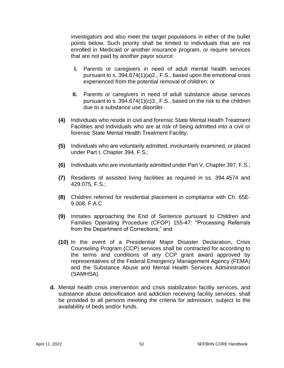investigators and also meet the target populations in either of the bullet points below. Such priority shall be limited to individuals that are not enrolled in Medicaid or another insurance program, or require services that are not paid by another payor source:

- **I.** Parents or caregivers in need of adult mental health services pursuant to s. 394.674(1)(a)2., F.S., based upon the emotional crisis experienced from the potential removal of children; or
- **II.** Parents or caregivers in need of adult substance abuse services pursuant to s. 394.674(1)(c)3., F.S., based on the risk to the children due to a substance use disorder.
- **(4)** Individuals who reside in civil and forensic State Mental Health Treatment Facilities and individuals who are at risk of being admitted into a civil or forensic State Mental Health Treatment Facility;
- **(5)** Individuals who are voluntarily admitted, involuntarily examined, or placed under Part I, Chapter 394, F.S.;
- **(6)** Individuals who are involuntarily admitted under Part V, Chapter 397, F.S.;
- **(7)** Residents of assisted living facilities as required in ss. 394.4574 and 429.075, F.S.;
- **(8)** Children referred for residential placement in compliance with Ch. 65E-9.008, F.A.C
- **(9)** Inmates approaching the End of Sentence pursuant to Children and Families Operating Procedure (CFOP) 155-47: "Processing Referrals from the Department of Corrections;" and
- **(10)** In the event of a Presidential Major Disaster Declaration, Crisis Counseling Program (CCP) services shall be contracted for according to the terms and conditions of any CCP grant award approved by representatives of the Federal Emergency Management Agency (FEMA) and the Substance Abuse and Mental Health Services Administration (SAMHSA).
- **d.** Mental health crisis intervention and crisis stabilization facility services, and substance abuse detoxification and addiction receiving facility services, shall be provided to all persons meeting the criteria for admission, subject to the availability of beds and/or funds.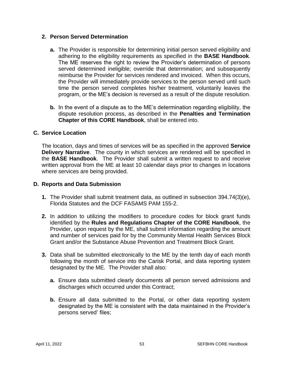#### **2. Person Served Determination**

- **a.** The Provider is responsible for determining initial person served eligibility and adhering to the eligibility requirements as specified in the **BASE Handbook**. The ME reserves the right to review the Provider's determination of persons served determined ineligible; override that determination; and subsequently reimburse the Provider for services rendered and invoiced. When this occurs, the Provider will immediately provide services to the person served until such time the person served completes his/her treatment, voluntarily leaves the program, or the ME's decision is reversed as a result of the dispute resolution.
- **b.** In the event of a dispute as to the ME's determination regarding eligibility, the dispute resolution process, as described in the **Penalties and Termination Chapter of this CORE Handbook**, shall be entered into.

## **C. Service Location**

The location, days and times of services will be as specified in the approved **Service Delivery Narrative**. The county in which services are rendered will be specified in the **BASE Handbook**. The Provider shall submit a written request to and receive written approval from the ME at least 10 calendar days prior to changes in locations where services are being provided.

#### **D. Reports and Data Submission**

- **1.** The Provider shall submit treatment data, as outlined in subsection 394.74(3)(e), Florida Statutes and the DCF FASAMS PAM 155-2.
- **2.** In addition to utilizing the modifiers to procedure codes for block grant funds identified by the **Rules and Regulations Chapter of the CORE Handbook**, the Provider, upon request by the ME, shall submit information regarding the amount and number of services paid for by the Community Mental Health Services Block Grant and/or the Substance Abuse Prevention and Treatment Block Grant.
- **3.** Data shall be submitted electronically to the ME by the tenth day of each month following the month of service into the Carisk Portal, and data reporting system designated by the ME. The Provider shall also:
	- **a.** Ensure data submitted clearly documents all person served admissions and discharges which occurred under this Contract;
	- **b.** Ensure all data submitted to the Portal, or other data reporting system designated by the ME is consistent with the data maintained in the Provider's persons served' files;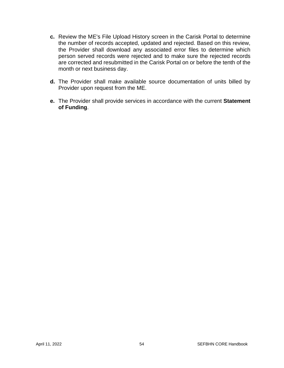- **c.** Review the ME's File Upload History screen in the Carisk Portal to determine the number of records accepted, updated and rejected. Based on this review, the Provider shall download any associated error files to determine which person served records were rejected and to make sure the rejected records are corrected and resubmitted in the Carisk Portal on or before the tenth of the month or next business day.
- **d.** The Provider shall make available source documentation of units billed by Provider upon request from the ME.
- **e.** The Provider shall provide services in accordance with the current **Statement of Funding**.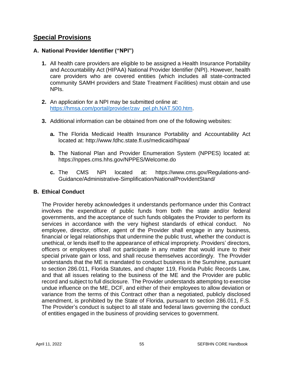## **Special Provisions**

## **A. National Provider Identifier ("NPI")**

- **1.** All health care providers are eligible to be assigned a Health Insurance Portability and Accountability Act (HIPAA) National Provider Identifier (NPI). However, health care providers who are covered entities (which includes all state-contracted community SAMH providers and State Treatment Facilities) must obtain and use NPIs.
- **2.** An application for a NPI may be submitted online at: [https://hmsa.com/portal/provider/zav\\_pel.ph.NAT.500.htm.](https://hmsa.com/portal/provider/zav_pel.ph.NAT.500.htm)
- **3.** Additional information can be obtained from one of the following websites:
	- **a.** The Florida Medicaid Health Insurance Portability and Accountability Act located at:<http://www.fdhc.state.fl.us/medicaid/hipaa/>
	- **b.** The National Plan and Provider Enumeration System (NPPES) located at: <https://nppes.cms.hhs.gov/NPPES/Welcome.do>
	- **c.** The CMS NPI located at: [https://www.cms.gov/Regulations-and-](https://www.cms.gov/Regulations-and-Guidance/Administrative-Simplification/NationalProvIdentStand/)[Guidance/Administrative-Simplification/NationalProvIdentStand/](https://www.cms.gov/Regulations-and-Guidance/Administrative-Simplification/NationalProvIdentStand/)

## **B. Ethical Conduct**

The Provider hereby acknowledges it understands performance under this Contract involves the expenditure of public funds from both the state and/or federal governments, and the acceptance of such funds obligates the Provider to perform its services in accordance with the very highest standards of ethical conduct. No employee, director, officer, agent of the Provider shall engage in any business, financial or legal relationships that undermine the public trust, whether the conduct is unethical, or lends itself to the appearance of ethical impropriety. Providers' directors, officers or employees shall not participate in any matter that would inure to their special private gain or loss, and shall recuse themselves accordingly. The Provider understands that the ME is mandated to conduct business in the Sunshine, pursuant to section 286.011, Florida Statutes, and chapter 119, Florida Public Records Law, and that all issues relating to the business of the ME and the Provider are public record and subject to full disclosure. The Provider understands attempting to exercise undue influence on the ME, DCF, and either of their employees to allow deviation or variance from the terms of this Contract other than a negotiated, publicly disclosed amendment, is prohibited by the State of Florida, pursuant to section 286.011, F.S. The Provider's conduct is subject to all state and federal laws governing the conduct of entities engaged in the business of providing services to government.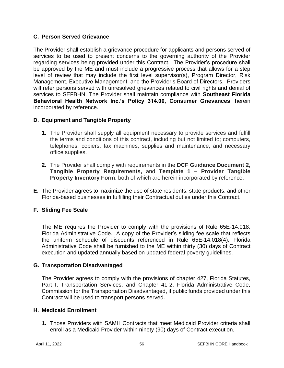## **C. Person Served Grievance**

The Provider shall establish a grievance procedure for applicants and persons served of services to be used to present concerns to the governing authority of the Provider regarding services being provided under this Contract. The Provider's procedure shall be approved by the ME and must include a progressive process that allows for a step level of review that may include the first level supervisor(s), Program Director, Risk Management, Executive Management, and the Provider's Board of Directors. Providers will refer persons served with unresolved grievances related to civil rights and denial of services to SEFBHN. The Provider shall maintain compliance with **Southeast Florida Behavioral Health Network Inc.'s Policy 314.00, Consumer Grievances**, herein incorporated by reference.

## **D. Equipment and Tangible Property**

- **1.** The Provider shall supply all equipment necessary to provide services and fulfill the terms and conditions of this contract, including but not limited to; computers, telephones, copiers, fax machines, supplies and maintenance, and necessary office supplies.
- **2.** The Provider shall comply with requirements in the **DCF Guidance Document 2, Tangible Property Requirements,** and **Template 1 – Provider Tangible Property Inventory Form**, both of which are herein incorporated by reference.
- **E.** The Provider agrees to maximize the use of state residents, state products, and other Florida-based businesses in fulfilling their Contractual duties under this Contract.

## **F. Sliding Fee Scale**

The ME requires the Provider to comply with the provisions of Rule 65E-14.018, Florida Administrative Code. A copy of the Provider's sliding fee scale that reflects the uniform schedule of discounts referenced in Rule 65E-14.018(4), Florida Administrative Code shall be furnished to the ME within thirty (30) days of Contract execution and updated annually based on updated federal poverty guidelines.

## **G. Transportation Disadvantaged**

The Provider agrees to comply with the provisions of chapter 427, Florida Statutes, Part I, Transportation Services, and Chapter 41-2, Florida Administrative Code, Commission for the Transportation Disadvantaged, if public funds provided under this Contract will be used to transport persons served.

#### **H. Medicaid Enrollment**

**1.** Those Providers with SAMH Contracts that meet Medicaid Provider criteria shall enroll as a Medicaid Provider within ninety (90) days of Contract execution.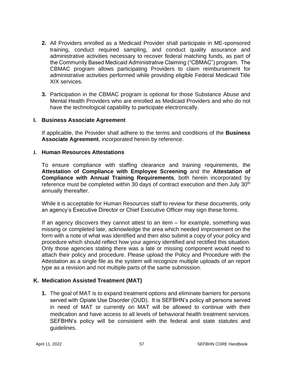- **2.** All Providers enrolled as a Medicaid Provider shall participate in ME-sponsored training, conduct required sampling, and conduct quality assurance and administrative activities necessary to recover federal matching funds, as part of the Community Based Medicaid Administrative Claiming ("CBMAC") program. The CBMAC program allows participating Providers to claim reimbursement for administrative activities performed while providing eligible Federal Medicaid Title XIX services.
- **3.** Participation in the CBMAC program is optional for those Substance Abuse and Mental Health Providers who are enrolled as Medicaid Providers and who do not have the technological capability to participate electronically.

#### **I. Business Associate Agreement**

If applicable, the Provider shall adhere to the terms and conditions of the **Business Associate Agreement**, incorporated herein by reference.

#### **J. Human Resources Attestations**

To ensure compliance with staffing clearance and training requirements, the **Attestation of Compliance with Employee Screening** and the **Attestation of Compliance with Annual Training Requirements**, both herein incorporated by reference must be completed within 30 days of contract execution and then July  $30<sup>th</sup>$ annually thereafter.

While it is acceptable for Human Resources staff to review for these documents, only an agency's Executive Director or Chief Executive Officer may sign these forms.

If an agency discovers they cannot attest to an item – for example, something was missing or completed late, acknowledge the area which needed improvement on the form with a note of what was identified and then also submit a copy of your policy and procedure which should reflect how your agency identified and rectified this situation. Only those agencies stating there was a late or missing component would need to attach their policy and procedure. Please upload the Policy and Procedure with the Attestation as a single file as the system will recognize multiple uploads of an report type as a revision and not multiple parts of the same submission.

#### **K. Medication Assisted Treatment (MAT)**

**1.** The goal of MAT is to expand treatment options and eliminate barriers for persons served with Opiate Use Disorder (OUD). It is SEFBHN's policy all persons served in need of MAT or currently on MAT will be allowed to continue with their medication and have access to all levels of behavioral health treatment services. SEFBHN's policy will be consistent with the federal and state statutes and guidelines.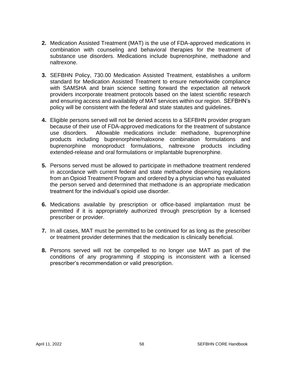- **2.** Medication Assisted Treatment (MAT) is the use of FDA-approved medications in combination with counseling and behavioral therapies for the treatment of substance use disorders. Medications include buprenorphine, methadone and naltrexone.
- **3.** SEFBHN Policy, 730.00 Medication Assisted Treatment, establishes a uniform standard for Medication Assisted Treatment to ensure networkwide compliance with SAMSHA and brain science setting forward the expectation all network providers incorporate treatment protocols based on the latest scientific research and ensuring access and availability of MAT services within our region. SEFBHN's policy will be consistent with the federal and state statutes and guidelines.
- **4.** Eligible persons served will not be denied access to a SEFBHN provider program because of their use of FDA-approved medications for the treatment of substance use disorders. Allowable medications include: methadone, buprenorphine products including buprenorphine/naloxone combination formulations and buprenorphine monoproduct formulations, naltrexone products including extended-release and oral formulations or implantable buprenorphine.
- **5.** Persons served must be allowed to participate in methadone treatment rendered in accordance with current federal and state methadone dispensing regulations from an Opioid Treatment Program and ordered by a physician who has evaluated the person served and determined that methadone is an appropriate medication treatment for the individual's opioid use disorder.
- **6.** Medications available by prescription or office-based implantation must be permitted if it is appropriately authorized through prescription by a licensed prescriber or provider.
- **7.** In all cases, MAT must be permitted to be continued for as long as the prescriber or treatment provider determines that the medication is clinically beneficial.
- **8.** Persons served will not be compelled to no longer use MAT as part of the conditions of any programming if stopping is inconsistent with a licensed prescriber's recommendation or valid prescription.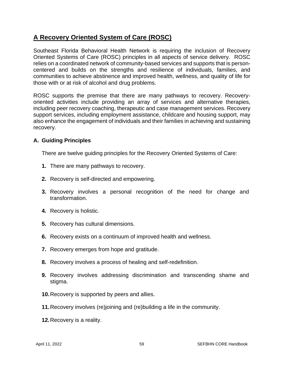# **A Recovery Oriented System of Care (ROSC)**

Southeast Florida Behavioral Health Network is requiring the inclusion of Recovery Oriented Systems of Care (ROSC) principles in all aspects of service delivery. ROSC relies on a coordinated network of community-based services and supports that is personcentered and builds on the strengths and resilience of individuals, families, and communities to achieve abstinence and improved health, wellness, and quality of life for those with or at risk of alcohol and drug problems.

ROSC supports the premise that there are many pathways to recovery. Recoveryoriented activities include providing an array of services and alternative therapies, including peer recovery coaching, therapeutic and case management services. Recovery support services, including employment assistance, childcare and housing support, may also enhance the engagement of individuals and their families in achieving and sustaining recovery.

#### **A. Guiding Principles**

There are twelve guiding principles for the Recovery Oriented Systems of Care:

- **1.** There are many pathways to recovery.
- **2.** Recovery is self-directed and empowering.
- **3.** Recovery involves a personal recognition of the need for change and transformation.
- **4.** Recovery is holistic.
- **5.** Recovery has cultural dimensions.
- **6.** Recovery exists on a continuum of improved health and wellness.
- **7.** Recovery emerges from hope and gratitude.
- **8.** Recovery involves a process of healing and self-redefinition.
- **9.** Recovery involves addressing discrimination and transcending shame and stigma.
- **10.**Recovery is supported by peers and allies.
- **11.**Recovery involves (re)joining and (re)building a life in the community.
- **12.**Recovery is a reality.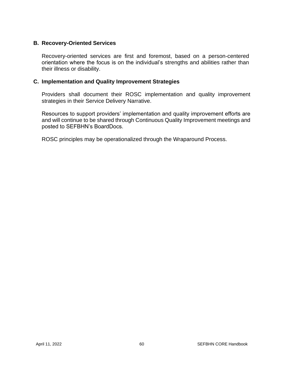#### **B. Recovery-Oriented Services**

Recovery-oriented services are first and foremost, based on a person-centered orientation where the focus is on the individual's strengths and abilities rather than their illness or disability.

#### **C. Implementation and Quality Improvement Strategies**

Providers shall document their ROSC implementation and quality improvement strategies in their Service Delivery Narrative.

Resources to support providers' implementation and quality improvement efforts are and will continue to be shared through Continuous Quality Improvement meetings and posted to SEFBHN's BoardDocs.

ROSC principles may be operationalized through the Wraparound Process.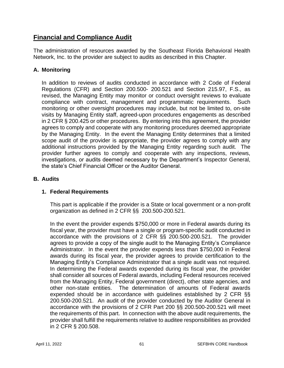# **Financial and Compliance Audit**

The administration of resources awarded by the Southeast Florida Behavioral Health Network, Inc. to the provider are subject to audits as described in this Chapter.

## **A. Monitoring**

In addition to reviews of audits conducted in accordance with 2 Code of Federal Regulations (CFR) and Section 200.500- 200.521 and Section 215.97, F.S., as revised, the Managing Entity may monitor or conduct oversight reviews to evaluate compliance with contract, management and programmatic requirements. Such monitoring or other oversight procedures may include, but not be limited to, on-site visits by Managing Entity staff, agreed-upon procedures engagements as described in 2 CFR § 200.425 or other procedures. By entering into this agreement, the provider agrees to comply and cooperate with any monitoring procedures deemed appropriate by the Managing Entity. In the event the Managing Entity determines that a limited scope audit of the provider is appropriate, the provider agrees to comply with any additional instructions provided by the Managing Entity regarding such audit. The provider further agrees to comply and cooperate with any inspections, reviews, investigations, or audits deemed necessary by the Department's Inspector General, the state's Chief Financial Officer or the Auditor General.

## **B. Audits**

#### **1. Federal Requirements**

This part is applicable if the provider is a State or local government or a non-profit organization as defined in 2 CFR §§ 200.500-200.521.

In the event the provider expends \$750,000 or more in Federal awards during its fiscal year, the provider must have a single or program-specific audit conducted in accordance with the provisions of 2 CFR §§ 200.500-200.521. The provider agrees to provide a copy of the single audit to the Managing Entity's Compliance Administrator. In the event the provider expends less than \$750,000 in Federal awards during its fiscal year, the provider agrees to provide certification to the Managing Entity's Compliance Administrator that a single audit was not required. In determining the Federal awards expended during its fiscal year, the provider shall consider all sources of Federal awards, including Federal resources received from the Managing Entity, Federal government (direct), other state agencies, and other non-state entities. The determination of amounts of Federal awards expended should be in accordance with guidelines established by 2 CFR §§ 200.500-200.521. An audit of the provider conducted by the Auditor General in accordance with the provisions of 2 CFR Part 200 §§ 200.500-200.521 will meet the requirements of this part. In connection with the above audit requirements, the provider shall fulfill the requirements relative to auditee responsibilities as provided in 2 CFR § 200.508.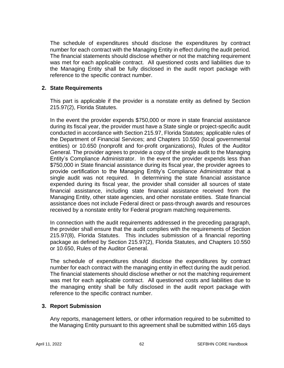The schedule of expenditures should disclose the expenditures by contract number for each contract with the Managing Entity in effect during the audit period. The financial statements should disclose whether or not the matching requirement was met for each applicable contract. All questioned costs and liabilities due to the Managing Entity shall be fully disclosed in the audit report package with reference to the specific contract number.

### **2. State Requirements**

This part is applicable if the provider is a nonstate entity as defined by Section 215.97(2), Florida Statutes.

In the event the provider expends \$750,000 or more in state financial assistance during its fiscal year, the provider must have a State single or project-specific audit conducted in accordance with Section 215.97, Florida Statutes; applicable rules of the Department of Financial Services; and Chapters 10.550 (local governmental entities) or 10.650 (nonprofit and for-profit organizations), Rules of the Auditor General. The provider agrees to provide a copy of the single audit to the Managing Entity's Compliance Administrator. In the event the provider expends less than \$750,000 in State financial assistance during its fiscal year, the provider agrees to provide certification to the Managing Entity's Compliance Administrator that a single audit was not required. In determining the state financial assistance expended during its fiscal year, the provider shall consider all sources of state financial assistance, including state financial assistance received from the Managing Entity, other state agencies, and other nonstate entities. State financial assistance does not include Federal direct or pass-through awards and resources received by a nonstate entity for Federal program matching requirements.

In connection with the audit requirements addressed in the preceding paragraph, the provider shall ensure that the audit complies with the requirements of Section 215.97(8), Florida Statutes. This includes submission of a financial reporting package as defined by Section 215.97(2), Florida Statutes, and Chapters 10.550 or 10.650, Rules of the Auditor General.

The schedule of expenditures should disclose the expenditures by contract number for each contract with the managing entity in effect during the audit period. The financial statements should disclose whether or not the matching requirement was met for each applicable contract. All questioned costs and liabilities due to the managing entity shall be fully disclosed in the audit report package with reference to the specific contract number.

#### **3. Report Submission**

Any reports, management letters, or other information required to be submitted to the Managing Entity pursuant to this agreement shall be submitted within 165 days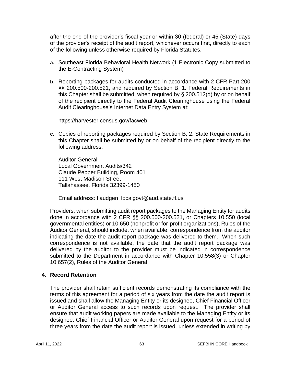after the end of the provider's fiscal year or within 30 (federal) or 45 (State) days of the provider's receipt of the audit report, whichever occurs first, directly to each of the following unless otherwise required by Florida Statutes.

- **a.** Southeast Florida Behavioral Health Network (1 Electronic Copy submitted to the E-Contracting System)
- **b.** Reporting packages for audits conducted in accordance with 2 CFR Part 200 §§ 200.500-200.521, and required by Section B, 1. Federal Requirements in this Chapter shall be submitted, when required by § 200.512(d) by or on behalf of the recipient directly to the Federal Audit Clearinghouse using the Federal Audit Clearinghouse's Internet Data Entry System at:

https://harvester.census.gov/facweb

**c.** Copies of reporting packages required by Section B, 2. State Requirements in this Chapter shall be submitted by or on behalf of the recipient directly to the following address:

Auditor General Local Government Audits/342 Claude Pepper Building, Room 401 111 West Madison Street Tallahassee, Florida 32399-1450

Email address: flaudgen\_localgovt@aud.state.fl.us

Providers, when submitting audit report packages to the Managing Entity for audits done in accordance with 2 CFR §§ 200.500-200.521, or Chapters 10.550 (local governmental entities) or 10.650 (nonprofit or for-profit organizations), Rules of the Auditor General, should include, when available, correspondence from the auditor indicating the date the audit report package was delivered to them. When such correspondence is not available, the date that the audit report package was delivered by the auditor to the provider must be indicated in correspondence submitted to the Department in accordance with Chapter 10.558(3) or Chapter 10.657(2), Rules of the Auditor General.

#### **4. Record Retention**

The provider shall retain sufficient records demonstrating its compliance with the terms of this agreement for a period of six years from the date the audit report is issued and shall allow the Managing Entity or its designee, Chief Financial Officer or Auditor General access to such records upon request. The provider shall ensure that audit working papers are made available to the Managing Entity or its designee, Chief Financial Officer or Auditor General upon request for a period of three years from the date the audit report is issued, unless extended in writing by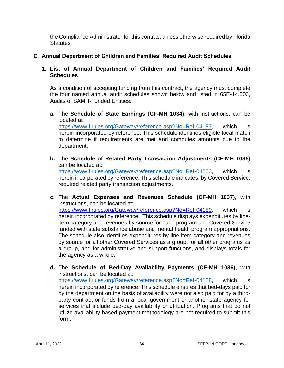the Compliance Administrator for this contract unless otherwise required by Florida Statutes.

## **C. Annual Department of Children and Families' Required Audit Schedules**

## **1. List of Annual Department of Children and Families' Required Audit Schedules**

As a condition of accepting funding from this contract, the agency must complete the four named annual audit schedules shown below and listed in 65E-14.003, Audits of SAMH-Funded Entities:

**a.** The **Schedule of State Earnings** (**CF-MH 1034**)**,** with instructions, can be located at: [https://www.flrules.org/Gateway/reference.asp?No=Ref-04187,](https://www.flrules.org/Gateway/reference.asp?No=Ref-04187) which is

herein incorporated by reference. This schedule identifies eligible local match to determine if requirements are met and computes amounts due to the department.

- **b.** The **Schedule of Related Party Transaction Adjustments** (**CF-MH 1035**) can be located at: [https://www.flrules.org/Gateway/reference.asp?No=Ref-04203,](https://www.flrules.org/Gateway/reference.asp?No=Ref-04203) which is herein incorporated by reference. This schedule indicates, by Covered Service, required related party transaction adjustments.
- **c.** The **Actual Expenses and Revenues Schedule (CF-MH 1037)**, with instructions, can be located at: [https://www.flrules.org/Gateway/reference.asp?No=Ref-04189,](https://www.flrules.org/Gateway/reference.asp?No=Ref-04189) which is herein incorporated by reference. This schedule displays expenditures by lineitem category and revenues by source for each program and Covered Service funded with state substance abuse and mental health program appropriations. The schedule also identifies expenditures by line-item category and revenues by source for all other Covered Services as a group, for all other programs as a group, and for administrative and support functions, and displays totals for the agency as a whole.
- **d.** The **Schedule of Bed-Day Availability Payments (CF-MH 1036)**, with instructions, can be located at: [https://www.flrules.org/Gateway/reference.asp?No=Ref-04188,](https://www.flrules.org/Gateway/reference.asp?No=Ref-04188) which is herein incorporated by reference. This schedule ensures that bed-days paid for by the department on the basis of availability were not also paid for by a thirdparty contract or funds from a local government or another state agency for services that include bed-day availability or utilization. Programs that do not utilize availability based payment methodology are not required to submit this form.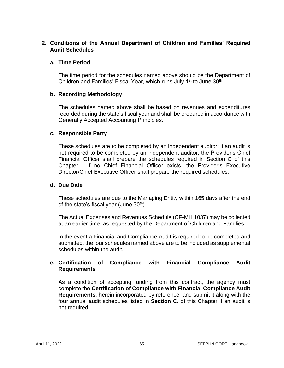## **2. Conditions of the Annual Department of Children and Families' Required Audit Schedules**

#### **a. Time Period**

The time period for the schedules named above should be the Department of Children and Families' Fiscal Year, which runs July 1<sup>st</sup> to June 30<sup>th</sup>.

#### **b. Recording Methodology**

The schedules named above shall be based on revenues and expenditures recorded during the state's fiscal year and shall be prepared in accordance with Generally Accepted Accounting Principles.

#### **c. Responsible Party**

These schedules are to be completed by an independent auditor; if an audit is not required to be completed by an independent auditor, the Provider's Chief Financial Officer shall prepare the schedules required in Section C of this Chapter. If no Chief Financial Officer exists, the Provider's Executive Director/Chief Executive Officer shall prepare the required schedules.

#### **d. Due Date**

These schedules are due to the Managing Entity within 165 days after the end of the state's fiscal year (June  $30<sup>th</sup>$ ).

The Actual Expenses and Revenues Schedule (CF-MH 1037) may be collected at an earlier time, as requested by the Department of Children and Families.

In the event a Financial and Compliance Audit is required to be completed and submitted, the four schedules named above are to be included as supplemental schedules within the audit.

## **e. Certification of Compliance with Financial Compliance Audit Requirements**

As a condition of accepting funding from this contract, the agency must complete the **Certification of Compliance with Financial Compliance Audit Requirements**, herein incorporated by reference, and submit it along with the four annual audit schedules listed in **Section C.** of this Chapter if an audit is not required.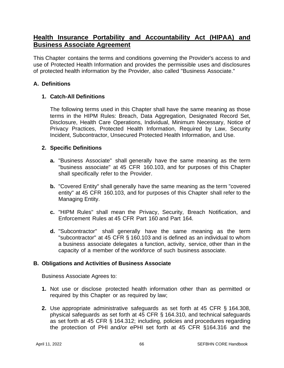## **Health Insurance Portability and Accountability Act (HIPAA) and Business Associate Agreement**

This Chapter contains the terms and conditions governing the Provider's access to and use of Protected Health Information and provides the permissible uses and disclosures of protected health information by the Provider, also called "Business Associate."

## **A. Definitions**

## **1. Catch-All Definitions**

The following terms used in this Chapter shall have the same meaning as those terms in the HIPM Rules: Breach, Data Aggregation, Designated Record Set, Disclosure, Health Care Operations, Individual, Minimum Necessary, Notice of Privacy Practices, Protected Health Information, Required by Law, Security Incident, Subcontractor, Unsecured Protected Health Information, and Use.

## **2. Specific Definitions**

- **a.** "Business Associate" shall generally have the same meaning as the term "business associate" at 45 CFR 160.103, and for purposes of this Chapter shall specifically refer to the Provider.
- **b.** "Covered Entity" shall generally have the same meaning as the term "covered entity" at 45 CFR 160.103, and for purposes of this Chapter shall refer to the Managing Entity.
- **c.** "HIPM Rules" shall mean the Privacy, Security, Breach Notification, and Enforcement Rules at 45 CFR Part 160 and Part 164.
- **d.** "Subcontractor" shall generally have the same meaning as the term "subcontractor" at 45 CFR § 160.103 and is defined as an individual to whom a business associate delegates a function, activity, service, other than in the capacity of a member of the workforce of such business associate.

#### **B. Obligations and Activities of Business Associate**

Business Associate Agrees to:

- **1.** Not use or disclose protected health information other than as permitted or required by this Chapter or as required by law;
- **2.** Use appropriate administrative safeguards as set forth at 45 CFR § 164.308, physical safeguards as set forth at 45 CFR § 164.310, and technical safeguards as set forth at 45 CFR § 164.312; including, policies and procedures regarding the protection of PHI and/or ePHI set forth at 45 CFR §164.316 and the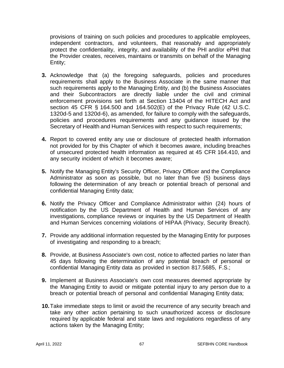provisions of training on such policies and procedures to applicable employees, independent contractors, and volunteers, that reasonably and appropriately protect the confidentiality, integrity, and availability of the PHI and/or ePHI that the Provider creates, receives, maintains or transmits on behalf of the Managing Entity;

- **3.** Acknowledge that (a) the foregoing safeguards, policies and procedures requirements shall apply to the Business Associate in the same manner that such requirements apply to the Managing Entity, and (b) the Business Associates and their Subcontractors are directly liable under the civil and criminal enforcement provisions set forth at Section 13404 of the HITECH Act and section 45 CFR § 164.500 and 164.502(E) of the Privacy Rule (42 U.S.C. 1320d-5 and 1320d-6), as amended, for failure to comply with the safeguards, policies and procedures requirements and any guidance issued by the Secretary of Health and Human Services with respect to such requirements;
- **4.** Report to covered entity any use or disclosure of protected health information not provided for by this Chapter of which it becomes aware, including breaches of unsecured protected health information as required at 45 CFR 164.410, and any security incident of which it becomes aware;
- **5.** Notify the Managing Entity's Security Officer, Privacy Officer and the Compliance Administrator as soon as possible, but no later than five (5) business days following the determination of any breach or potential breach of personal and confidential Managing Entity data;
- **6.** Notify the Privacy Officer and Compliance Administrator within (24) hours of notification by the US Department of Health and Human Services of any investigations, compliance reviews or inquiries by the US Department of Health and Human Services concerning violations of HIPAA (Privacy, Security Breach).
- **7.** Provide any additional information requested by the Managing Entity for purposes of investigating and responding to a breach;
- **8.** Provide, at Business Associate's own cost, notice to affected parties no later than 45 days following the determination of any potential breach of personal or confidential Managing Entity data as provided in section 817.5685, F.S.;
- **9.** Implement at Business Associate's own cost measures deemed appropriate by the Managing Entity to avoid or mitigate potential injury to any person due to a breach or potential breach of personal and confidential Managing Entity data;
- **10.**Take immediate steps to limit or avoid the recurrence of any security breach and take any other action pertaining to such unauthorized access or disclosure required by applicable federal and state laws and regulations regardless of any actions taken by the Managing Entity;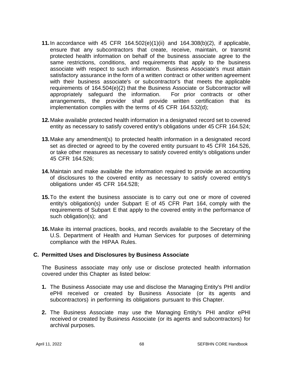- **11.**In accordance with 45 CFR 164.502(e)(1)(ii) and 164.308(b)(2), if applicable, ensure that any subcontractors that create, receive, maintain, or transmit protected health information on behalf of the business associate agree to the same restrictions, conditions, and requirements that apply to the business associate with respect to such information. Business Associate's must attain satisfactory assurance in the form of a written contract or other written agreement with their business associate's or subcontractor's that meets the applicable requirements of 164.504(e)(2) that the Business Associate or Subcontractor will appropriately safeguard the information. For prior contracts or other arrangements, the provider shall provide written certification that its implementation complies with the terms of 45 CFR 164.532(d);
- **12.**Make available protected health information in a designated record set to covered entity as necessary to satisfy covered entity's obligations under 45 CFR 164.524;
- **13.**Make any amendment(s) to protected health information in a designated record set as directed or agreed to by the covered entity pursuant to 45 CFR 164.526, or take other measures as necessary to satisfy covered entity's obligations under 45 CFR 164.526;
- **14.**Maintain and make available the information required to provide an accounting of disclosures to the covered entity as necessary to satisfy covered entity's obligations under 45 CFR 164.528;
- **15.**To the extent the business associate is to carry out one or more of covered entity's obligation(s) under Subpart E of 45 CFR Part 164, comply with the requirements of Subpart E that apply to the covered entity in the performance of such obligation(s); and
- **16.**Make its internal practices, books, and records available to the Secretary of the U.S. Department of Health and Human Services for purposes of determining compliance with the HIPAA Rules.

#### **C. Permitted Uses and Disclosures by Business Associate**

The Business associate may only use or disclose protected health information covered under this Chapter as listed below:

- **1.** The Business Associate may use and disclose the Managing Entity's PHI and/or ePHI received or created by Business Associate (or its agents and subcontractors) in performing its obligations pursuant to this Chapter.
- **2.** The Business Associate may use the Managing Entity's PHI and/or ePHI received or created by Business Associate (or its agents and subcontractors) for archival purposes.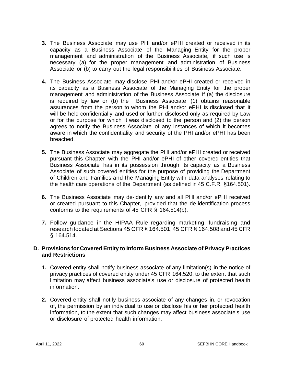- **3.** The Business Associate may use PHI and/or ePHI created or received in its capacity as a Business Associate of the Managing Entity for the proper management and administration of the Business Associate, if such use is necessary (a) for the proper management and administration of Business Associate or (b) to carry out the legal responsibilities of Business Associate.
- **4.** The Business Associate may disclose PHI and/or ePHI created or received in its capacity as a Business Associate of the Managing Entity for the proper management and administration of the Business Associate if (a) the disclosure is required by law or (b) the Business Associate (1) obtains reasonable assurances from the person to whom the PHI and/or ePHI is disclosed that it will be held confidentially and used or further disclosed only as required by Law or for the purpose for which it was disclosed to the person and (2) the person agrees to notify the Business Associate of any instances of which it becomes aware in which the confidentiality and security of the PHI and/or ePHI has been breached.
- **5.** The Business Associate may aggregate the PHI and/or ePHI created or received pursuant this Chapter with the PHI and/or ePHI of other covered entities that Business Associate has in its possession through its capacity as a Business Associate of such covered entities for the purpose of providing the Department of Children and Families and the Managing Entity with data analyses relating to the health care operations of the Department (as defined in 45 C.F.R. §164.501).
- **6.** The Business Associate may de-identify any and all PHI and/or ePHI received or created pursuant to this Chapter, provided that the de-identification process conforms to the requirements of 45 CFR § 164.514(b).
- **7.** Follow guidance in the HIPAA Rule regarding marketing, fundraising and research located at Sections 45 CFR § 164.501, 45 CFR § 164.508 and 45 CFR § 164.514.

#### **D. Provisions for Covered Entity to Inform Business Associate of Privacy Practices and Restrictions**

- **1.** Covered entity shall notify business associate of any limitation(s) in the notice of privacy practices of covered entity under 45 CFR 164.520, to the extent that such limitation may affect business associate's use or disclosure of protected health information.
- **2.** Covered entity shall notify business associate of any changes in, or revocation of, the permission by an individual to use or disclose his or her protected health information, to the extent that such changes may affect business associate's use or disclosure of protected health information.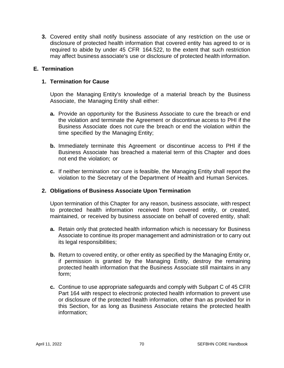**3.** Covered entity shall notify business associate of any restriction on the use or disclosure of protected health information that covered entity has agreed to or is required to abide by under 45 CFR 164.522, to the extent that such restriction may affect business associate's use or disclosure of protected health information.

## **E. Termination**

#### **1. Termination for Cause**

Upon the Managing Entity's knowledge of a material breach by the Business Associate, the Managing Entity shall either:

- **a.** Provide an opportunity for the Business Associate to cure the breach or end the violation and terminate the Agreement or discontinue access to PHI if the Business Associate does not cure the breach or end the violation within the time specified by the Managing Entity;
- **b.** Immediately terminate this Agreement or discontinue access to PHI if the Business Associate has breached a material term of this Chapter and does not end the violation; or
- **c.** If neither termination nor cure is feasible, the Managing Entity shall report the violation to the Secretary of the Department of Health and Human Services.

#### **2. Obligations of Business Associate Upon Termination**

Upon termination of this Chapter for any reason, business associate, with respect to protected health information received from covered entity, or created, maintained, or received by business associate on behalf of covered entity, shall:

- **a.** Retain only that protected health information which is necessary for Business Associate to continue its proper management and administration or to carry out its legal responsibilities;
- **b.** Return to covered entity, or other entity as specified by the Managing Entity or, if permission is granted by the Managing Entity, destroy the remaining protected health information that the Business Associate still maintains in any form;
- **c.** Continue to use appropriate safeguards and comply with Subpart C of 45 CFR Part 164 with respect to electronic protected health information to prevent use or disclosure of the protected health information, other than as provided for in this Section, for as long as Business Associate retains the protected health information;